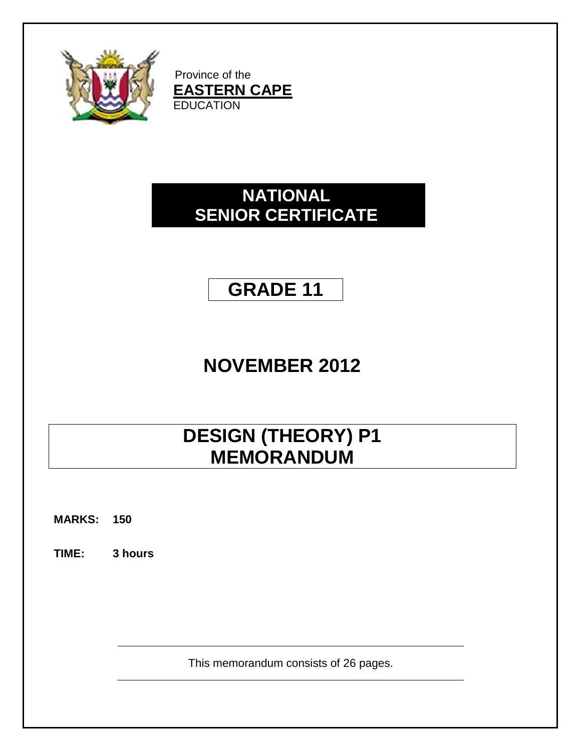

Province of the **EASTERN CAPE EDUCATION** 

# **NATIONAL SENIOR CERTIFICATE**

# **GRADE 11**

# **NOVEMBER 2012**

# **DESIGN (THEORY) P1 MEMORANDUM**

**MARKS: 150**

**TIME: 3 hours**

This memorandum consists of 26 pages.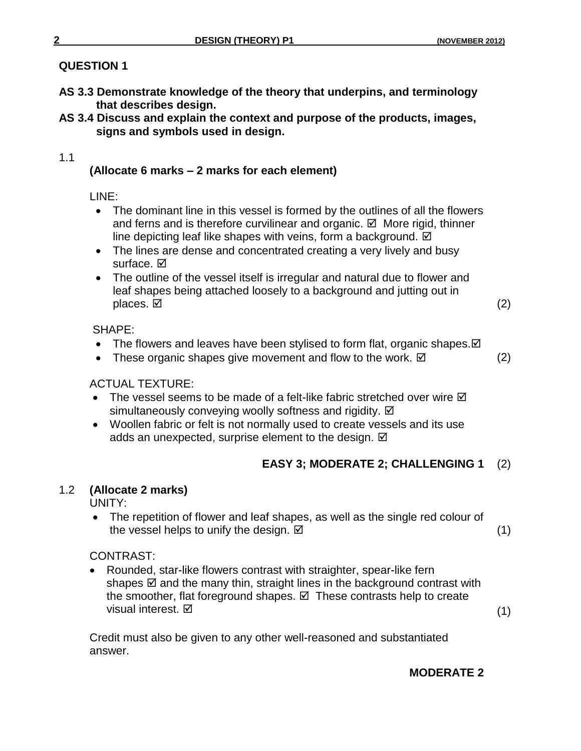### **QUESTION 1**

- **AS 3.3 Demonstrate knowledge of the theory that underpins, and terminology that describes design.**
- **AS 3.4 Discuss and explain the context and purpose of the products, images, signs and symbols used in design.**

#### 1.1

# **(Allocate 6 marks – 2 marks for each element)**

LINE:

- The dominant line in this vessel is formed by the outlines of all the flowers and ferns and is therefore curvilinear and organic.  $\boxtimes$  More rigid, thinner line depicting leaf like shapes with veins, form a background.  $\boxtimes$
- The lines are dense and concentrated creating a very lively and busy surface. **☑**
- The outline of the vessel itself is irregular and natural due to flower and leaf shapes being attached loosely to a background and jutting out in places.  $\boxtimes$  (2)

#### SHAPE:

- The flowers and leaves have been stylised to form flat, organic shapes.  $\boxtimes$
- These organic shapes give movement and flow to the work.  $\boxtimes$  (2)

### ACTUAL TEXTURE:

- The vessel seems to be made of a felt-like fabric stretched over wire  $\boxtimes$ simultaneously conveying woolly softness and rigidity.  $\boxtimes$
- Woollen fabric or felt is not normally used to create vessels and its use adds an unexpected, surprise element to the design.  $\boxtimes$

# **EASY 3; MODERATE 2; CHALLENGING 1** (2)

### 1.2 **(Allocate 2 marks)**

UNITY:

• The repetition of flower and leaf shapes, as well as the single red colour of the vessel helps to unify the design.  $\boxtimes$  and the vessel helps to unify the design.  $\boxtimes$ 

### CONTRAST:

 Rounded, star-like flowers contrast with straighter, spear-like fern shapes  $\boxtimes$  and the many thin, straight lines in the background contrast with the smoother, flat foreground shapes.  $\boxtimes$  These contrasts help to create visual interest.  $\boxtimes$  (1)

Credit must also be given to any other well-reasoned and substantiated answer.

### **MODERATE 2**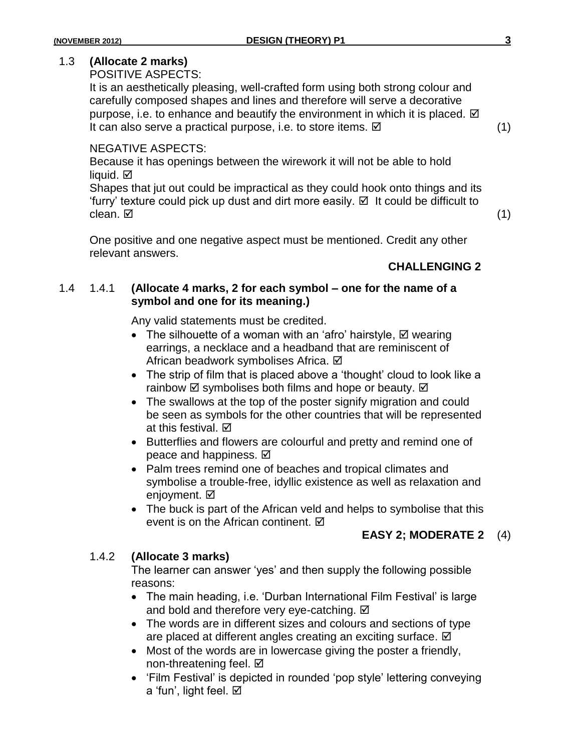### 1.3 **(Allocate 2 marks)**

POSITIVE ASPECTS:

It is an aesthetically pleasing, well-crafted form using both strong colour and carefully composed shapes and lines and therefore will serve a decorative purpose, i.e. to enhance and beautify the environment in which it is placed.  $\boxtimes$ It can also serve a practical purpose, i.e. to store items.  $\boxtimes$  (1)

NEGATIVE ASPECTS:

Because it has openings between the wirework it will not be able to hold liquid.  $\boxtimes$ 

Shapes that jut out could be impractical as they could hook onto things and its 'furry' texture could pick up dust and dirt more easily.  $\boxtimes$  It could be difficult to clean.  $\boxtimes$  (1)

One positive and one negative aspect must be mentioned. Credit any other relevant answers.

### **CHALLENGING 2**

#### 1.4 1.4.1 **(Allocate 4 marks, 2 for each symbol – one for the name of a symbol and one for its meaning.)**

Any valid statements must be credited.

- The silhouette of a woman with an 'afro' hairstyle,  $\boxtimes$  wearing earrings, a necklace and a headband that are reminiscent of African beadwork symbolises Africa. Ø
- The strip of film that is placed above a 'thought' cloud to look like a rainbow  $\boxtimes$  symbolises both films and hope or beauty.  $\boxtimes$
- The swallows at the top of the poster signify migration and could be seen as symbols for the other countries that will be represented at this festival. Ø
- Butterflies and flowers are colourful and pretty and remind one of peace and happiness.  $\boxtimes$
- Palm trees remind one of beaches and tropical climates and symbolise a trouble-free, idyllic existence as well as relaxation and enjoyment. **Ø**
- The buck is part of the African veld and helps to symbolise that this event is on the African continent. ☑

### **EASY 2; MODERATE 2** (4)

### 1.4.2 **(Allocate 3 marks)**

The learner can answer 'yes' and then supply the following possible reasons:

- The main heading, i.e. 'Durban International Film Festival' is large and bold and therefore very eye-catching.  $\boxtimes$
- The words are in different sizes and colours and sections of type are placed at different angles creating an exciting surface.  $\boxtimes$
- Most of the words are in lowercase giving the poster a friendly, non-threatening feel. Ø
- 'Film Festival' is depicted in rounded 'pop style' lettering conveying a 'fun', light feel. Ø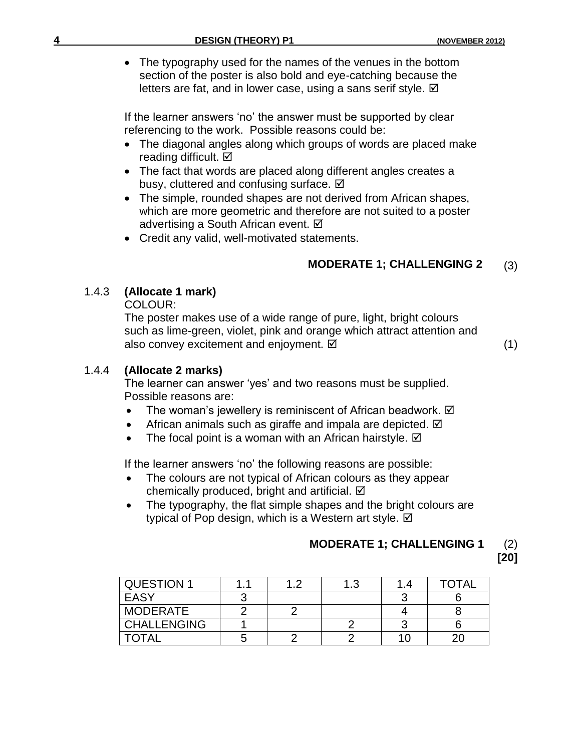• The typography used for the names of the venues in the bottom section of the poster is also bold and eye-catching because the letters are fat, and in lower case, using a sans serif style.  $\boxtimes$ 

If the learner answers 'no' the answer must be supported by clear referencing to the work. Possible reasons could be:

- The diagonal angles along which groups of words are placed make reading difficult. Ø
- The fact that words are placed along different angles creates a busy, cluttered and confusing surface.  $\boxtimes$
- The simple, rounded shapes are not derived from African shapes, which are more geometric and therefore are not suited to a poster advertising a South African event. Ø
- Credit any valid, well-motivated statements.

#### (3)  **MODERATE 1; CHALLENGING 2**

#### 1.4.3 **(Allocate 1 mark)**

COLOUR:

The poster makes use of a wide range of pure, light, bright colours such as lime-green, violet, pink and orange which attract attention and also convey excitement and enjoyment.  $\boxtimes$  (1)

#### 1.4.4 **(Allocate 2 marks)**

The learner can answer 'yes' and two reasons must be supplied. Possible reasons are:

- The woman's jewellery is reminiscent of African beadwork.  $\boxtimes$
- $\bullet$  African animals such as giraffe and impala are depicted.  $\boxtimes$
- The focal point is a woman with an African hairstyle.  $\boxtimes$

If the learner answers 'no' the following reasons are possible:

- The colours are not typical of African colours as they appear chemically produced, bright and artificial. Ø
- The typography, the flat simple shapes and the bright colours are typical of Pop design, which is a Western art style. Ø

# **MODERATE 1; CHALLENGING 1** (2)

**[20]**

| <b>QUESTION 1</b>  |  | 1 ?<br>ن. | <b>TOTAL</b> |
|--------------------|--|-----------|--------------|
| EASY               |  |           |              |
| MODERATE           |  |           |              |
| <b>CHALLENGING</b> |  |           |              |
| <b>TOTAL</b>       |  |           |              |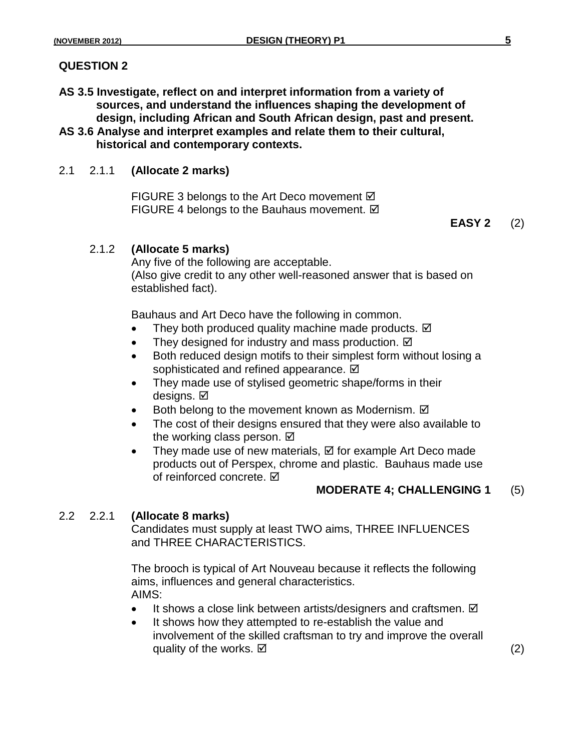#### **QUESTION 2**

- **AS 3.5 Investigate, reflect on and interpret information from a variety of sources, and understand the influences shaping the development of design, including African and South African design, past and present.**
- **AS 3.6 Analyse and interpret examples and relate them to their cultural, historical and contemporary contexts.**

#### 2.1 2.1.1 **(Allocate 2 marks)**

FIGURE 3 belongs to the Art Deco movement  $\boxtimes$ FIGURE 4 belongs to the Bauhaus movement.  $\boxtimes$ 

**EASY 2** (2)

#### 2.1.2 **(Allocate 5 marks)**

Any five of the following are acceptable. (Also give credit to any other well-reasoned answer that is based on established fact).

Bauhaus and Art Deco have the following in common.

- They both produced quality machine made products.  $\boxtimes$
- They designed for industry and mass production.  $\boxtimes$
- Both reduced design motifs to their simplest form without losing a sophisticated and refined appearance.  $\boxtimes$
- They made use of stylised geometric shape/forms in their designs. Ø
- $\bullet$  Both belong to the movement known as Modernism.  $\boxtimes$
- The cost of their designs ensured that they were also available to the working class person.  $\boxtimes$
- They made use of new materials,  $\boxtimes$  for example Art Deco made products out of Perspex, chrome and plastic. Bauhaus made use of reinforced concrete. **☑**

#### **MODERATE 4; CHALLENGING 1** (5)

#### 2.2 2.2.1 **(Allocate 8 marks)**

Candidates must supply at least TWO aims, THREE INFLUENCES and THREE CHARACTERISTICS.

The brooch is typical of Art Nouveau because it reflects the following aims, influences and general characteristics. AIMS:

- It shows a close link between artists/designers and craftsmen.  $\boxtimes$
- It shows how they attempted to re-establish the value and involvement of the skilled craftsman to try and improve the overall quality of the works.  $\boxtimes$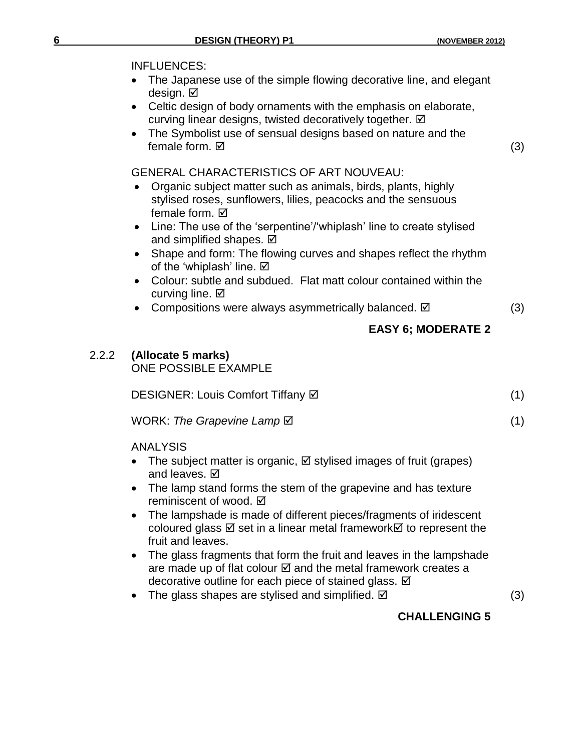- The Japanese use of the simple flowing decorative line, and elegant design. **Ø**
- Celtic design of body ornaments with the emphasis on elaborate, curving linear designs, twisted decoratively together. Ø
- The Symbolist use of sensual designs based on nature and the female form.  $\boxtimes$  (3)

#### GENERAL CHARACTERISTICS OF ART NOUVEAU:

- Organic subject matter such as animals, birds, plants, highly stylised roses, sunflowers, lilies, peacocks and the sensuous female form.  $\boxtimes$
- Line: The use of the 'serpentine'/'whiplash' line to create stylised and simplified shapes.  $\boxtimes$
- Shape and form: The flowing curves and shapes reflect the rhythm of the 'whiplash' line.  $\boxtimes$
- Colour: subtle and subdued. Flat matt colour contained within the curving line.  $\boxtimes$
- Compositions were always asymmetrically balanced.  $\boxtimes$  (3)

# **EASY 6; MODERATE 2**

# 2.2.2 **(Allocate 5 marks)**

ONE POSSIBLE EXAMPLE

DESIGNER: Louis Comfort Tiffany ⊠ 1999 (1)

WORK: The Grapevine Lamp **⊠** (1)

ANALYSIS

- The subject matter is organic,  $\boxtimes$  stylised images of fruit (grapes) and leaves.  $\boxtimes$
- The lamp stand forms the stem of the grapevine and has texture reminiscent of wood. **Ø**
- The lampshade is made of different pieces/fragments of iridescent coloured glass  $\boxtimes$  set in a linear metal framework  $\boxtimes$  to represent the fruit and leaves.
- The glass fragments that form the fruit and leaves in the lampshade are made up of flat colour  $\boxtimes$  and the metal framework creates a decorative outline for each piece of stained glass.  $\boxtimes$
- The glass shapes are stylised and simplified.  $\boxtimes$   $\qquad \qquad$  (3)

# **CHALLENGING 5**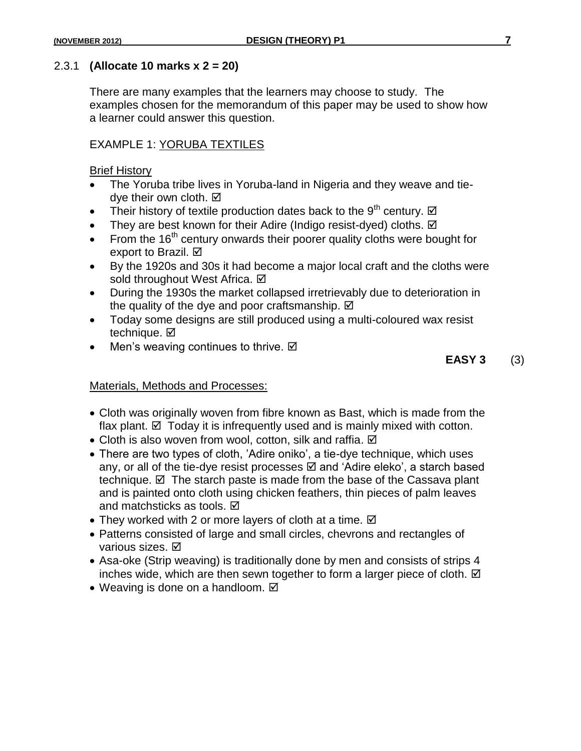#### 2.3.1 **(Allocate 10 marks x 2 = 20)**

There are many examples that the learners may choose to study. The examples chosen for the memorandum of this paper may be used to show how a learner could answer this question.

#### EXAMPLE 1: YORUBA TEXTILES

Brief History

- The Yoruba tribe lives in Yoruba-land in Nigeria and they weave and tiedye their own cloth. **Ø**
- Their history of textile production dates back to the 9<sup>th</sup> century.  $\boxtimes$
- They are best known for their Adire (Indigo resist-dyed) cloths.  $\boxtimes$
- From the  $16<sup>th</sup>$  century onwards their poorer quality cloths were bought for export to Brazil. Ø
- By the 1920s and 30s it had become a major local craft and the cloths were sold throughout West Africa. **Ø**
- During the 1930s the market collapsed irretrievably due to deterioration in the quality of the dye and poor craftsmanship.  $\boxtimes$
- Today some designs are still produced using a multi-coloured wax resist technique. **Ø**
- Men's weaving continues to thrive. Ø

 **EASY 3** (3)

#### Materials, Methods and Processes:

- Cloth was originally woven from fibre known as Bast, which is made from the flax plant.  $\boxtimes$  Today it is infrequently used and is mainly mixed with cotton.
- $\bullet$  Cloth is also woven from wool, cotton, silk and raffia.  $\boxtimes$
- There are two types of cloth, 'Adire oniko', a tie-dye technique, which uses any, or all of the tie-dye resist processes  $\boxtimes$  and 'Adire eleko', a starch based technique.  $\boxtimes$  The starch paste is made from the base of the Cassava plant and is painted onto cloth using chicken feathers, thin pieces of palm leaves and matchsticks as tools. Ø
- They worked with 2 or more layers of cloth at a time.  $\boxtimes$
- Patterns consisted of large and small circles, chevrons and rectangles of various sizes. Ø
- Asa-oke (Strip weaving) is traditionally done by men and consists of strips 4 inches wide, which are then sewn together to form a larger piece of cloth.  $\boxtimes$
- Weaving is done on a handloom.  $\boxtimes$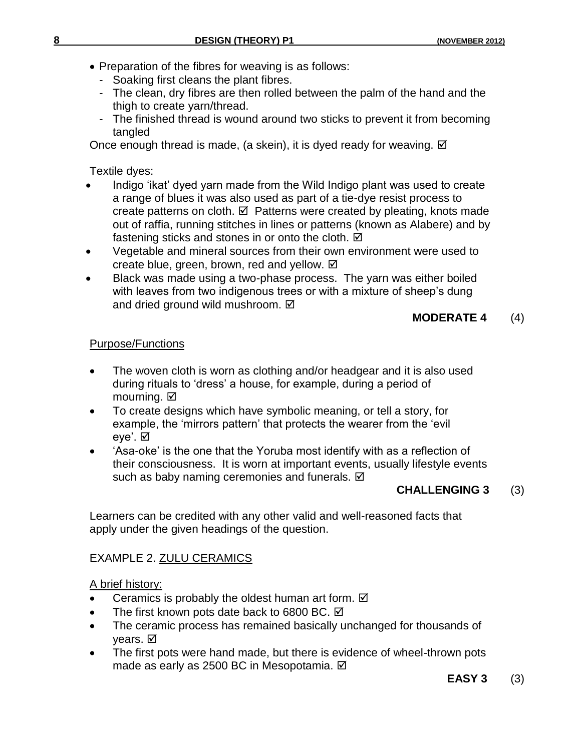- Preparation of the fibres for weaving is as follows:
	- Soaking first cleans the plant fibres.
	- The clean, dry fibres are then rolled between the palm of the hand and the thigh to create yarn/thread.
	- The finished thread is wound around two sticks to prevent it from becoming tangled

Once enough thread is made, (a skein), it is dyed ready for weaving.  $\boxtimes$ 

Textile dyes:

- Indigo 'ikat' dyed yarn made from the Wild Indigo plant was used to create a range of blues it was also used as part of a tie-dye resist process to create patterns on cloth.  $\boxtimes$  Patterns were created by pleating, knots made out of raffia, running stitches in lines or patterns (known as Alabere) and by fastening sticks and stones in or onto the cloth.  $\boxtimes$
- Vegetable and mineral sources from their own environment were used to create blue, green, brown, red and yellow.  $\boxtimes$
- Black was made using a two-phase process. The yarn was either boiled with leaves from two indigenous trees or with a mixture of sheep's dung and dried ground wild mushroom.  $\boxtimes$

### **MODERATE 4** (4)

### Purpose/Functions

- The woven cloth is worn as clothing and/or headgear and it is also used during rituals to 'dress' a house, for example, during a period of mourning. **Ø**
- To create designs which have symbolic meaning, or tell a story, for example, the 'mirrors pattern' that protects the wearer from the 'evil eye'. ☑
- 'Asa-oke' is the one that the Yoruba most identify with as a reflection of their consciousness. It is worn at important events, usually lifestyle events such as baby naming ceremonies and funerals.  $\boxtimes$

### **CHALLENGING 3** (3)

Learners can be credited with any other valid and well-reasoned facts that apply under the given headings of the question.

### EXAMPLE 2. ZULU CERAMICS

### A brief history:

- Ceramics is probably the oldest human art form.  $\boxtimes$
- The first known pots date back to 6800 BC. Ø
- The ceramic process has remained basically unchanged for thousands of years. **Ø**
- The first pots were hand made, but there is evidence of wheel-thrown pots made as early as 2500 BC in Mesopotamia. **Ø**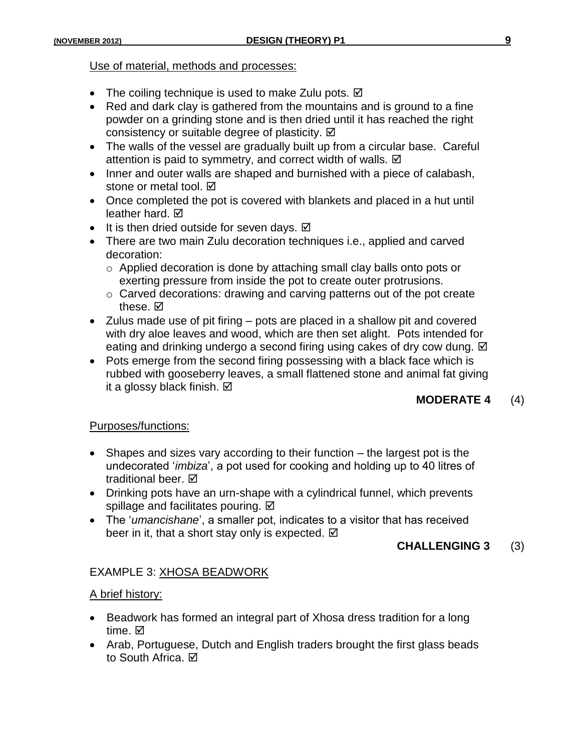#### Use of material, methods and processes:

- The coiling technique is used to make Zulu pots.  $\boxtimes$
- Red and dark clay is gathered from the mountains and is ground to a fine powder on a grinding stone and is then dried until it has reached the right consistency or suitable degree of plasticity.  $\boxtimes$
- The walls of the vessel are gradually built up from a circular base. Careful attention is paid to symmetry, and correct width of walls.  $\boxtimes$
- Inner and outer walls are shaped and burnished with a piece of calabash, stone or metal tool.  $\boxtimes$
- Once completed the pot is covered with blankets and placed in a hut until leather hard. **Ø**
- It is then dried outside for seven days.  $\boxtimes$
- There are two main Zulu decoration techniques i.e., applied and carved decoration:
	- o Applied decoration is done by attaching small clay balls onto pots or exerting pressure from inside the pot to create outer protrusions.
	- o Carved decorations: drawing and carving patterns out of the pot create these.  $\boxtimes$
- Zulus made use of pit firing pots are placed in a shallow pit and covered with dry aloe leaves and wood, which are then set alight. Pots intended for eating and drinking undergo a second firing using cakes of dry cow dung.  $\boxtimes$
- Pots emerge from the second firing possessing with a black face which is rubbed with gooseberry leaves, a small flattened stone and animal fat giving it a glossy black finish. **Ø**

#### **MODERATE 4** (4)

#### Purposes/functions:

- Shapes and sizes vary according to their function the largest pot is the undecorated '*imbiza*', a pot used for cooking and holding up to 40 litres of traditional beer. **☑**
- Drinking pots have an urn-shape with a cylindrical funnel, which prevents spillage and facilitates pouring.  $\boxtimes$
- The '*umancishane*', a smaller pot, indicates to a visitor that has received beer in it, that a short stay only is expected.

#### **CHALLENGING 3** (3)

#### EXAMPLE 3: XHOSA BEADWORK

#### A brief history:

- Beadwork has formed an integral part of Xhosa dress tradition for a long time. **☑**
- Arab, Portuguese, Dutch and English traders brought the first glass beads to South Africa. Ø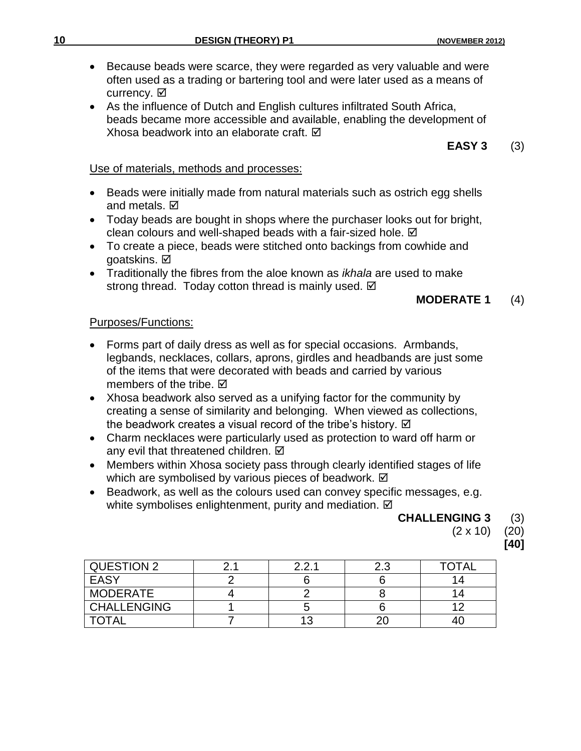- Because beads were scarce, they were regarded as very valuable and were often used as a trading or bartering tool and were later used as a means of currency. **Ø**
- As the influence of Dutch and English cultures infiltrated South Africa, beads became more accessible and available, enabling the development of Xhosa beadwork into an elaborate craft. **Ø**

 **EASY 3** (3)

#### Use of materials, methods and processes:

- Beads were initially made from natural materials such as ostrich egg shells and metals.  $\boxdot$
- Today beads are bought in shops where the purchaser looks out for bright, clean colours and well-shaped beads with a fair-sized hole. Ø
- To create a piece, beads were stitched onto backings from cowhide and goatskins. **Ø**
- Traditionally the fibres from the aloe known as *ikhala* are used to make strong thread. Today cotton thread is mainly used.  $\boxtimes$

#### **MODERATE 1** (4)

#### Purposes/Functions:

- Forms part of daily dress as well as for special occasions. Armbands, legbands, necklaces, collars, aprons, girdles and headbands are just some of the items that were decorated with beads and carried by various members of the tribe.  $\boxtimes$
- Xhosa beadwork also served as a unifying factor for the community by creating a sense of similarity and belonging. When viewed as collections, the beadwork creates a visual record of the tribe's history.  $\boxtimes$
- Charm necklaces were particularly used as protection to ward off harm or any evil that threatened children. Ø
- Members within Xhosa society pass through clearly identified stages of life which are symbolised by various pieces of beadwork.  $\boxtimes$
- Beadwork, as well as the colours used can convey specific messages, e.g. white symbolises enlightenment, purity and mediation.  $\boxtimes$

#### **CHALLENGING 3** (3)

(2 x 10) (20)

**[40]**

| QUESTION 2         | つつ 1 | ت. ے | <b>TOTAL</b> |
|--------------------|------|------|--------------|
| <b>EASY</b>        |      |      |              |
| <b>MODERATE</b>    |      |      |              |
| <b>CHALLENGING</b> |      |      |              |
| <b>TOTAL</b>       | 13   |      |              |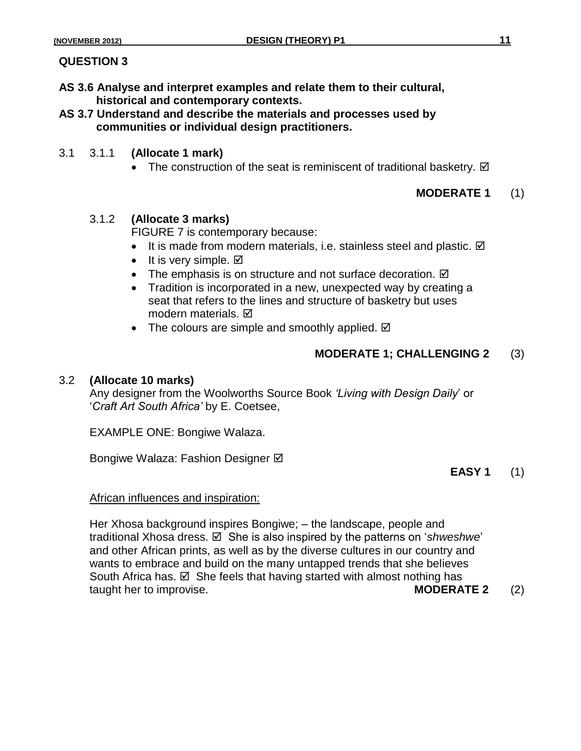#### **QUESTION 3**

- **AS 3.6 Analyse and interpret examples and relate them to their cultural, historical and contemporary contexts.**
- **AS 3.7 Understand and describe the materials and processes used by communities or individual design practitioners.**
- 3.1 3.1.1 **(Allocate 1 mark)**
	- The construction of the seat is reminiscent of traditional basketry.  $\boxtimes$

#### **MODERATE 1** (1)

#### 3.1.2 **(Allocate 3 marks)**

FIGURE 7 is contemporary because:

- It is made from modern materials, i.e. stainless steel and plastic.  $\boxtimes$
- It is very simple.  $\boxtimes$
- The emphasis is on structure and not surface decoration.  $\boxtimes$
- Tradition is incorporated in a new, unexpected way by creating a seat that refers to the lines and structure of basketry but uses modern materials.  $\boxtimes$
- The colours are simple and smoothly applied.  $\boxtimes$

#### **MODERATE 1; CHALLENGING 2** (3)

#### 3.2 **(Allocate 10 marks)**

Any designer from the Woolworths Source Book *'Living with Design Daily*' or '*Craft Art South Africa'* by E. Coetsee,

EXAMPLE ONE: Bongiwe Walaza.

Bongiwe Walaza: Fashion Designer Ø

#### **EASY 1** (1)

#### African influences and inspiration:

Her Xhosa background inspires Bongiwe; – the landscape, people and traditional Xhosa dress. **Ø** She is also inspired by the patterns on '*shweshwe*' and other African prints, as well as by the diverse cultures in our country and wants to embrace and build on the many untapped trends that she believes South Africa has.  $\boxtimes$  She feels that having started with almost nothing has taught her to improvise. **MODERATE 2** (2)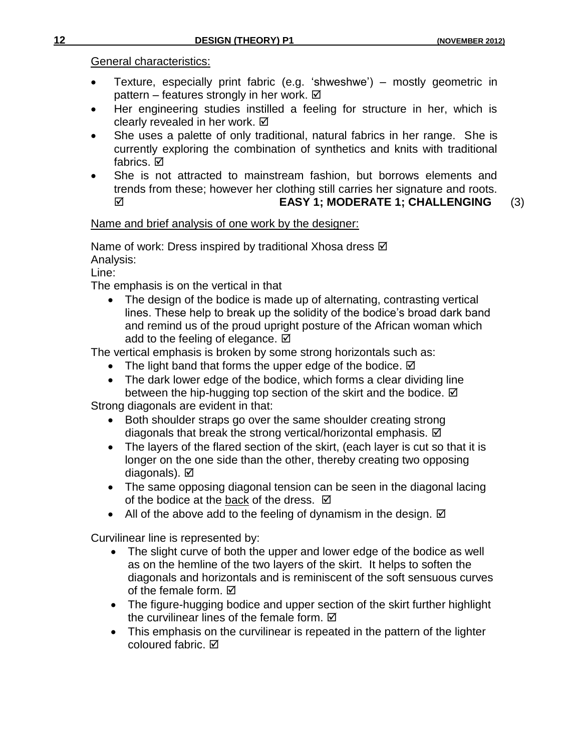General characteristics:

- Texture, especially print fabric (e.g. 'shweshwe') mostly geometric in pattern – features strongly in her work.  $\boxtimes$
- Her engineering studies instilled a feeling for structure in her, which is clearly revealed in her work.  $\boxtimes$
- She uses a palette of only traditional, natural fabrics in her range. She is currently exploring the combination of synthetics and knits with traditional fabrics. **D**
- She is not attracted to mainstream fashion, but borrows elements and trends from these; however her clothing still carries her signature and roots. **EASY 1; MODERATE 1; CHALLENGING** (3)

# Name and brief analysis of one work by the designer:

Name of work: Dress inspired by traditional Xhosa dress Ø Analysis:

Line:

The emphasis is on the vertical in that

• The design of the bodice is made up of alternating, contrasting vertical lines. These help to break up the solidity of the bodice's broad dark band and remind us of the proud upright posture of the African woman which add to the feeling of elegance.  $\boxtimes$ 

The vertical emphasis is broken by some strong horizontals such as:

- The light band that forms the upper edge of the bodice.  $\boxtimes$
- The dark lower edge of the bodice, which forms a clear dividing line between the hip-hugging top section of the skirt and the bodice.  $\boxtimes$

Strong diagonals are evident in that:

- Both shoulder straps go over the same shoulder creating strong diagonals that break the strong vertical/horizontal emphasis.  $\boxtimes$
- The layers of the flared section of the skirt, (each layer is cut so that it is longer on the one side than the other, thereby creating two opposing diagonals). Ø
- The same opposing diagonal tension can be seen in the diagonal lacing of the bodice at the back of the dress.  $\boxtimes$
- All of the above add to the feeling of dynamism in the design.  $\boxtimes$

Curvilinear line is represented by:

- The slight curve of both the upper and lower edge of the bodice as well as on the hemline of the two layers of the skirt. It helps to soften the diagonals and horizontals and is reminiscent of the soft sensuous curves of the female form.  $\boxtimes$
- The figure-hugging bodice and upper section of the skirt further highlight the curvilinear lines of the female form.  $\boxtimes$
- This emphasis on the curvilinear is repeated in the pattern of the lighter coloured fabric. Ø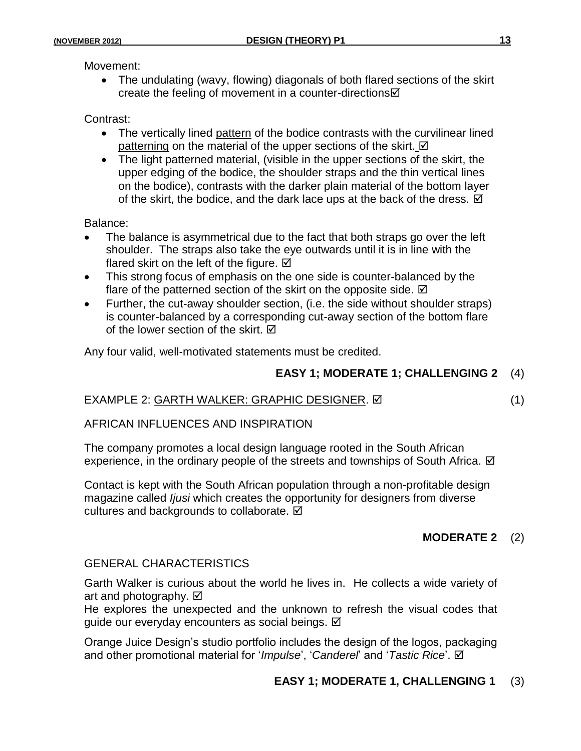Movement:

 The undulating (wavy, flowing) diagonals of both flared sections of the skirt create the feeling of movement in a counter-directions  $\boxtimes$ 

#### Contrast:

- The vertically lined pattern of the bodice contrasts with the curvilinear lined patterning on the material of the upper sections of the skirt.  $\boxtimes$
- The light patterned material, (visible in the upper sections of the skirt, the upper edging of the bodice, the shoulder straps and the thin vertical lines on the bodice), contrasts with the darker plain material of the bottom layer of the skirt, the bodice, and the dark lace ups at the back of the dress.  $\boxtimes$

Balance:

- The balance is asymmetrical due to the fact that both straps go over the left shoulder. The straps also take the eye outwards until it is in line with the flared skirt on the left of the figure.  $\boxtimes$
- This strong focus of emphasis on the one side is counter-balanced by the flare of the patterned section of the skirt on the opposite side.  $\boxtimes$
- Further, the cut-away shoulder section, (i.e. the side without shoulder straps) is counter-balanced by a corresponding cut-away section of the bottom flare of the lower section of the skirt.  $\boxtimes$

Any four valid, well-motivated statements must be credited.

### **EASY 1; MODERATE 1; CHALLENGING 2** (4)

### EXAMPLE 2: GARTH WALKER: GRAPHIC DESIGNER. (1)

AFRICAN INFLUENCES AND INSPIRATION

The company promotes a local design language rooted in the South African experience, in the ordinary people of the streets and townships of South Africa.  $\boxtimes$ 

Contact is kept with the South African population through a non-profitable design magazine called *Ijusi* which creates the opportunity for designers from diverse cultures and backgrounds to collaborate.  $✓$ 

### **MODERATE 2** (2)

#### GENERAL CHARACTERISTICS

Garth Walker is curious about the world he lives in. He collects a wide variety of art and photography.  $\boxtimes$ 

He explores the unexpected and the unknown to refresh the visual codes that guide our everyday encounters as social beings. **Ø** 

Orange Juice Design's studio portfolio includes the design of the logos, packaging and other promotional material for '*Impulse*', '*Canderel*' and '*Tastic Rice*'.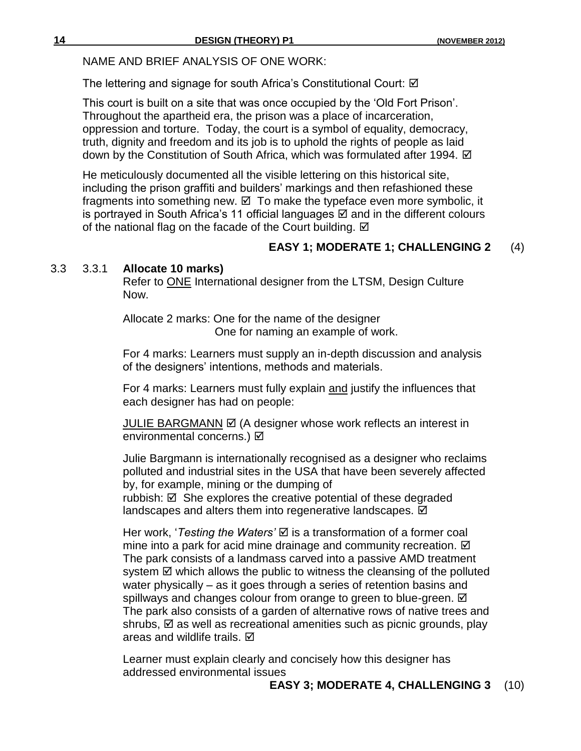NAME AND BRIEF ANALYSIS OF ONE WORK:

The lettering and signage for south Africa's Constitutional Court: ☑

This court is built on a site that was once occupied by the 'Old Fort Prison'. Throughout the apartheid era, the prison was a place of incarceration, oppression and torture. Today, the court is a symbol of equality, democracy, truth, dignity and freedom and its job is to uphold the rights of people as laid down by the Constitution of South Africa, which was formulated after 1994. Ø

He meticulously documented all the visible lettering on this historical site, including the prison graffiti and builders' markings and then refashioned these fragments into something new.  $\boxtimes$  To make the typeface even more symbolic, it is portraved in South Africa's 11 official languages  $\boxtimes$  and in the different colours of the national flag on the facade of the Court building.  $\boxtimes$ 

# **EASY 1; MODERATE 1; CHALLENGING 2** (4)

#### 3.3 3.3.1 **Allocate 10 marks)**

Refer to ONE International designer from the LTSM, Design Culture Now.

Allocate 2 marks: One for the name of the designer One for naming an example of work.

For 4 marks: Learners must supply an in-depth discussion and analysis of the designers' intentions, methods and materials.

For 4 marks: Learners must fully explain and justify the influences that each designer has had on people:

JULIE BARGMANN Ø (A designer whose work reflects an interest in environmental concerns.) Ø

Julie Bargmann is internationally recognised as a designer who reclaims polluted and industrial sites in the USA that have been severely affected by, for example, mining or the dumping of rubbish:  $\boxtimes$  She explores the creative potential of these degraded

landscapes and alters them into regenerative landscapes.  $✓$ 

Her work, '*Testing the Waters'* is a transformation of a former coal mine into a park for acid mine drainage and community recreation.  $\boxtimes$ The park consists of a landmass carved into a passive AMD treatment system  $\boxtimes$  which allows the public to witness the cleansing of the polluted water physically – as it goes through a series of retention basins and spillways and changes colour from orange to green to blue-green.  $\boxtimes$ The park also consists of a garden of alternative rows of native trees and shrubs,  $\boxtimes$  as well as recreational amenities such as picnic grounds, play areas and wildlife trails. **Ø** 

Learner must explain clearly and concisely how this designer has addressed environmental issues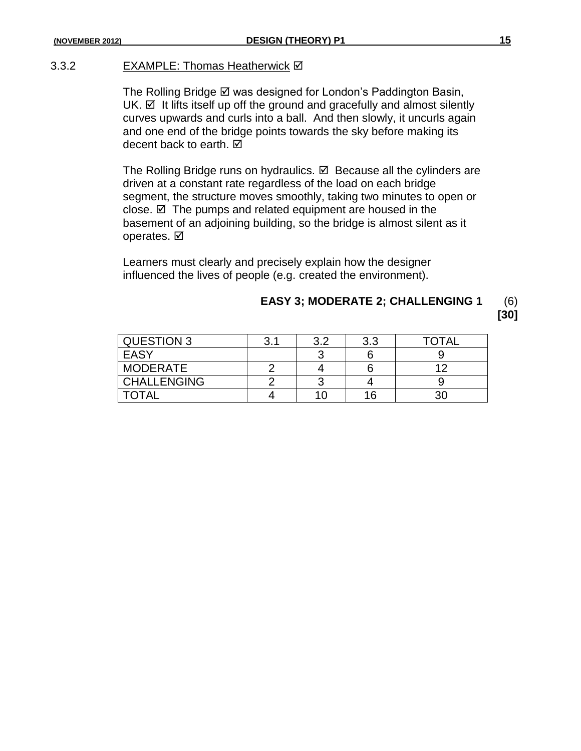#### 3.3.2 EXAMPLE: Thomas Heatherwick Ø

The Rolling Bridge  $\boxtimes$  was designed for London's Paddington Basin,  $UK. \nabla$  It lifts itself up off the ground and gracefully and almost silently curves upwards and curls into a ball. And then slowly, it uncurls again and one end of the bridge points towards the sky before making its decent back to earth. **Ø** 

The Rolling Bridge runs on hydraulics.  $\boxtimes$  Because all the cylinders are driven at a constant rate regardless of the load on each bridge segment, the structure moves smoothly, taking two minutes to open or close.  $\boxtimes$  The pumps and related equipment are housed in the basement of an adjoining building, so the bridge is almost silent as it operates. **Ø** 

Learners must clearly and precisely explain how the designer influenced the lives of people (e.g. created the environment).

# **EASY 3; MODERATE 2; CHALLENGING 1** (6)

**[30]**

| <b>QUESTION 3</b>  | 3.1 | ? ? | 3.3 | TOTAL |
|--------------------|-----|-----|-----|-------|
| EASY               |     |     |     |       |
| <b>MODERATE</b>    |     |     |     | 1 ຕ   |
| <b>CHALLENGING</b> |     |     |     |       |
| <b>TOTAL</b>       |     |     | 16  |       |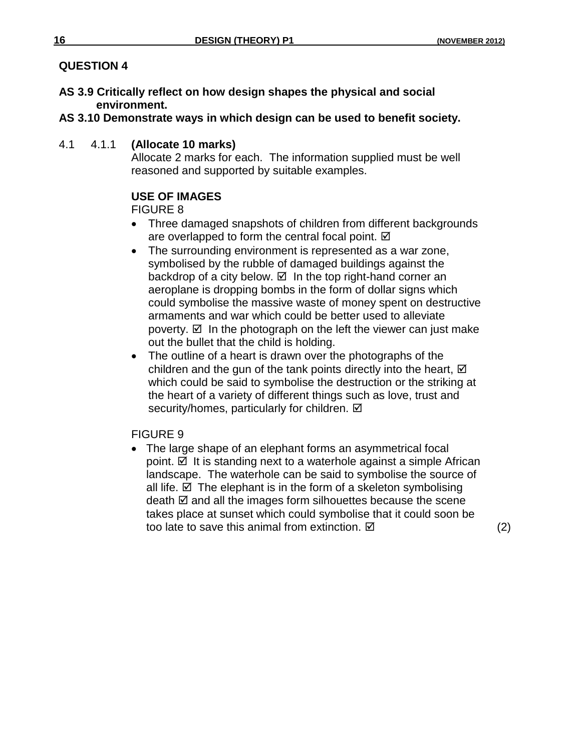# **QUESTION 4**

- **AS 3.9 Critically reflect on how design shapes the physical and social environment.**
- **AS 3.10 Demonstrate ways in which design can be used to benefit society.**
- 4.1 4.1.1 **(Allocate 10 marks)**

Allocate 2 marks for each. The information supplied must be well reasoned and supported by suitable examples.

# **USE OF IMAGES**

FIGURE 8

- Three damaged snapshots of children from different backgrounds are overlapped to form the central focal point.  $\boxtimes$
- The surrounding environment is represented as a war zone, symbolised by the rubble of damaged buildings against the backdrop of a city below.  $\boxtimes$  In the top right-hand corner an aeroplane is dropping bombs in the form of dollar signs which could symbolise the massive waste of money spent on destructive armaments and war which could be better used to alleviate poverty.  $\boxtimes$  In the photograph on the left the viewer can just make out the bullet that the child is holding.
- The outline of a heart is drawn over the photographs of the children and the gun of the tank points directly into the heart,  $\boxtimes$ which could be said to symbolise the destruction or the striking at the heart of a variety of different things such as love, trust and security/homes, particularly for children.  $\boxtimes$

FIGURE 9

 The large shape of an elephant forms an asymmetrical focal point.  $\boxtimes$  It is standing next to a waterhole against a simple African landscape. The waterhole can be said to symbolise the source of all life.  $\boxtimes$  The elephant is in the form of a skeleton symbolising death  $\boxtimes$  and all the images form silhouettes because the scene takes place at sunset which could symbolise that it could soon be too late to save this animal from extinction.  $\boxtimes$  (2)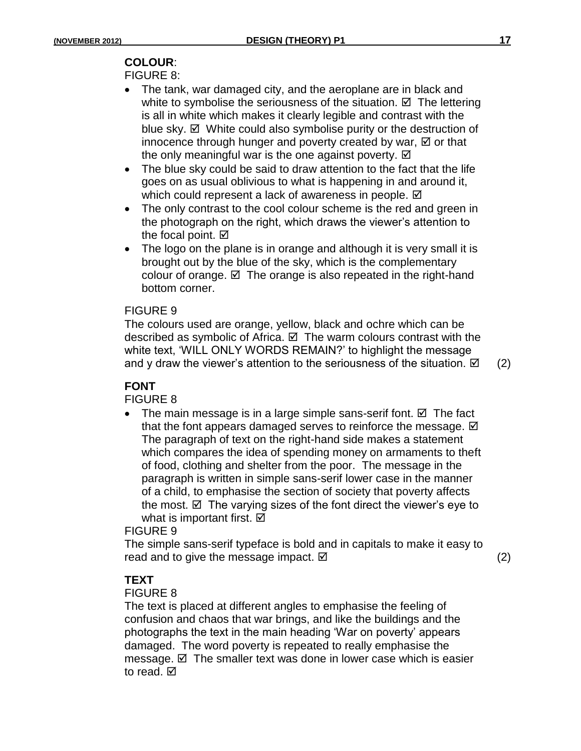# **COLOUR**:

#### FIGURE 8:

- The tank, war damaged city, and the aeroplane are in black and white to symbolise the seriousness of the situation.  $\boxtimes$  The lettering is all in white which makes it clearly legible and contrast with the blue sky.  $\boxtimes$  White could also symbolise purity or the destruction of innocence through hunger and poverty created by war,  $\boxtimes$  or that the only meaningful war is the one against poverty.  $\boxtimes$
- The blue sky could be said to draw attention to the fact that the life goes on as usual oblivious to what is happening in and around it, which could represent a lack of awareness in people.  $\boxtimes$
- The only contrast to the cool colour scheme is the red and green in the photograph on the right, which draws the viewer's attention to the focal point.  $\boxtimes$
- The logo on the plane is in orange and although it is very small it is brought out by the blue of the sky, which is the complementary colour of orange.  $\boxtimes$  The orange is also repeated in the right-hand bottom corner.

#### FIGURE 9

The colours used are orange, yellow, black and ochre which can be described as symbolic of Africa.  $\boxtimes$  The warm colours contrast with the white text, 'WILL ONLY WORDS REMAIN?' to highlight the message and y draw the viewer's attention to the seriousness of the situation.  $\boxtimes$  (2)

# **FONT**

### FIGURE 8

• The main message is in a large simple sans-serif font.  $\boxtimes$  The fact that the font appears damaged serves to reinforce the message.  $\boxtimes$ The paragraph of text on the right-hand side makes a statement which compares the idea of spending money on armaments to theft of food, clothing and shelter from the poor. The message in the paragraph is written in simple sans-serif lower case in the manner of a child, to emphasise the section of society that poverty affects the most.  $\boxtimes$  The varying sizes of the font direct the viewer's eye to what is important first.  $\boxtimes$ 

FIGURE 9

The simple sans-serif typeface is bold and in capitals to make it easy to read and to give the message impact.  $\boxtimes$   $\Box$  and the state of  $(2)$ 

### **TEXT**

#### FIGURE 8

The text is placed at different angles to emphasise the feeling of confusion and chaos that war brings, and like the buildings and the photographs the text in the main heading 'War on poverty' appears damaged. The word poverty is repeated to really emphasise the message.  $\boxtimes$  The smaller text was done in lower case which is easier to read. **☑**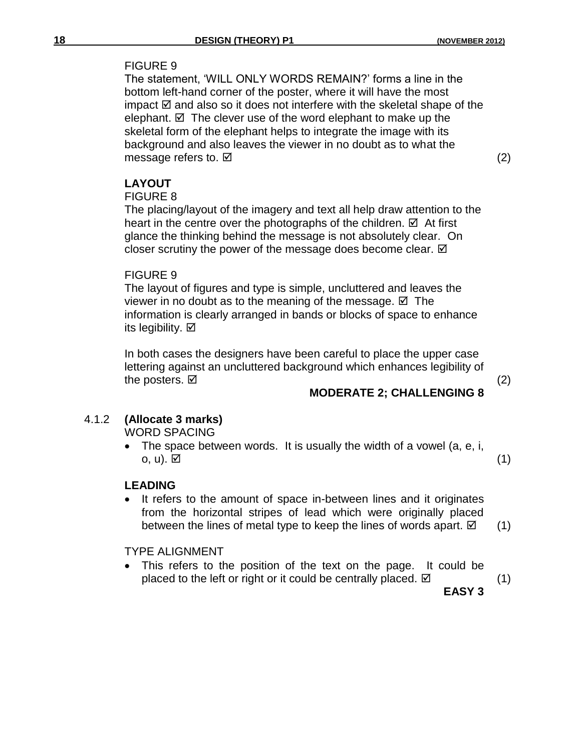#### FIGURE 9

The statement, 'WILL ONLY WORDS REMAIN?' forms a line in the bottom left-hand corner of the poster, where it will have the most impact  $\boxtimes$  and also so it does not interfere with the skeletal shape of the elephant.  $\boxtimes$  The clever use of the word elephant to make up the skeletal form of the elephant helps to integrate the image with its background and also leaves the viewer in no doubt as to what the message refers to.  $\boxtimes$  (2)

# **LAYOUT**

#### FIGURE 8

The placing/layout of the imagery and text all help draw attention to the heart in the centre over the photographs of the children.  $\boxtimes$  At first glance the thinking behind the message is not absolutely clear. On closer scrutiny the power of the message does become clear.  $\boxtimes$ 

#### FIGURE 9

The layout of figures and type is simple, uncluttered and leaves the viewer in no doubt as to the meaning of the message.  $\boxtimes$  The information is clearly arranged in bands or blocks of space to enhance its legibility.  $\boxtimes$ 

In both cases the designers have been careful to place the upper case lettering against an uncluttered background which enhances legibility of the posters.  $\boxtimes$  (2)

# **MODERATE 2; CHALLENGING 8**

# 4.1.2 **(Allocate 3 marks)**

WORD SPACING

• The space between words. It is usually the width of a vowel  $(a, e, i, j)$ o, u).  $\boxtimes$  (1)

### **LEADING**

 It refers to the amount of space in-between lines and it originates from the horizontal stripes of lead which were originally placed between the lines of metal type to keep the lines of words apart.  $\boxtimes$  (1)

#### TYPE ALIGNMENT

 This refers to the position of the text on the page. It could be placed to the left or right or it could be centrally placed.  $\boxtimes$  (1)

**EASY 3**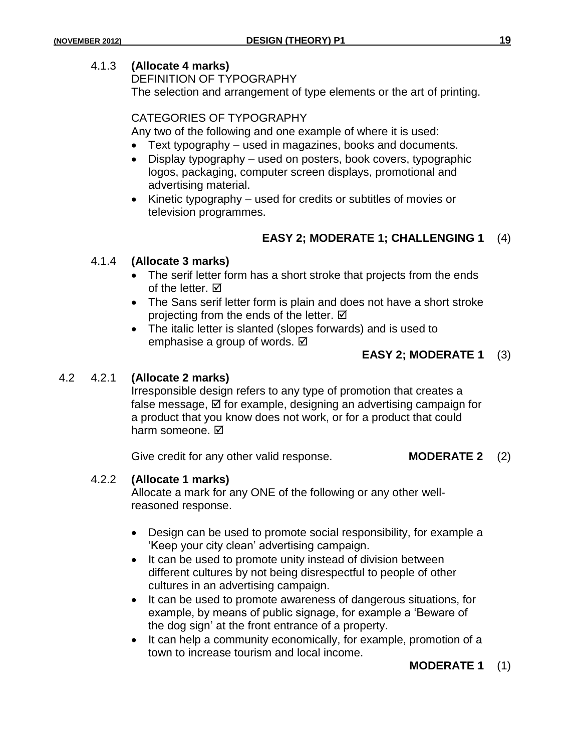#### 4.1.3 **(Allocate 4 marks)**

DEFINITION OF TYPOGRAPHY The selection and arrangement of type elements or the art of printing.

#### CATEGORIES OF TYPOGRAPHY

Any two of the following and one example of where it is used:

- Text typography used in magazines, books and documents.
- Display typography used on posters, book covers, typographic logos, packaging, computer screen displays, promotional and advertising material.
- Kinetic typography used for credits or subtitles of movies or television programmes.

### **EASY 2; MODERATE 1; CHALLENGING 1** (4)

#### 4.1.4 **(Allocate 3 marks)**

- The serif letter form has a short stroke that projects from the ends of the letter.  $\boxtimes$
- The Sans serif letter form is plain and does not have a short stroke projecting from the ends of the letter.  $\boxtimes$
- The italic letter is slanted (slopes forwards) and is used to emphasise a group of words. **Ø**

#### **EASY 2; MODERATE 1** (3)

#### 4.2 4.2.1 **(Allocate 2 marks)**

Irresponsible design refers to any type of promotion that creates a false message,  $\boxtimes$  for example, designing an advertising campaign for a product that you know does not work, or for a product that could harm someone. M

Give credit for any other valid response. **MODERATE 2** (2)

#### 4.2.2 **(Allocate 1 marks)**

Allocate a mark for any ONE of the following or any other wellreasoned response.

- Design can be used to promote social responsibility, for example a 'Keep your city clean' advertising campaign.
- It can be used to promote unity instead of division between different cultures by not being disrespectful to people of other cultures in an advertising campaign.
- It can be used to promote awareness of dangerous situations, for example, by means of public signage, for example a 'Beware of the dog sign' at the front entrance of a property.
- It can help a community economically, for example, promotion of a town to increase tourism and local income.

#### **MODERATE 1** (1)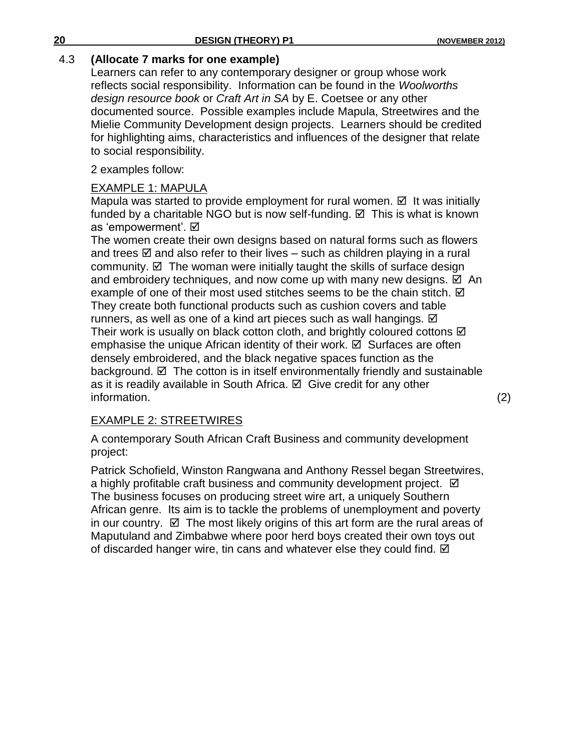### 4.3 **(Allocate 7 marks for one example)**

Learners can refer to any contemporary designer or group whose work reflects social responsibility. Information can be found in the *Woolworths design resource book* or *Craft Art in SA* by E. Coetsee or any other documented source. Possible examples include Mapula, Streetwires and the Mielie Community Development design projects. Learners should be credited for highlighting aims, characteristics and influences of the designer that relate to social responsibility.

2 examples follow:

### EXAMPLE 1: MAPULA

Mapula was started to provide employment for rural women.  $\boxtimes$  It was initially funded by a charitable NGO but is now self-funding.  $\boxtimes$  This is what is known as 'empowerment'. Ø

The women create their own designs based on natural forms such as flowers and trees  $\boxtimes$  and also refer to their lives – such as children playing in a rural community.  $\boxtimes$  The woman were initially taught the skills of surface design and embroidery techniques, and now come up with many new designs.  $\boxtimes$  An example of one of their most used stitches seems to be the chain stitch.  $\boxtimes$ They create both functional products such as cushion covers and table runners, as well as one of a kind art pieces such as wall hangings.  $\boxtimes$ Their work is usually on black cotton cloth, and brightly coloured cottons  $\boxtimes$ emphasise the unique African identity of their work.  $\boxtimes$  Surfaces are often densely embroidered, and the black negative spaces function as the background.  $\boxtimes$  The cotton is in itself environmentally friendly and sustainable as it is readily available in South Africa.  $\boxtimes$  Give credit for any other information. (2)

### EXAMPLE 2: STREETWIRES

A contemporary South African Craft Business and community development project:

Patrick Schofield, Winston Rangwana and Anthony Ressel began Streetwires, a highly profitable craft business and community development project.  $\boxtimes$ The business focuses on producing street wire art, a uniquely Southern African genre. Its aim is to tackle the problems of unemployment and poverty in our country.  $\boxtimes$  The most likely origins of this art form are the rural areas of Maputuland and Zimbabwe where poor herd boys created their own toys out of discarded hanger wire, tin cans and whatever else they could find.  $\boxtimes$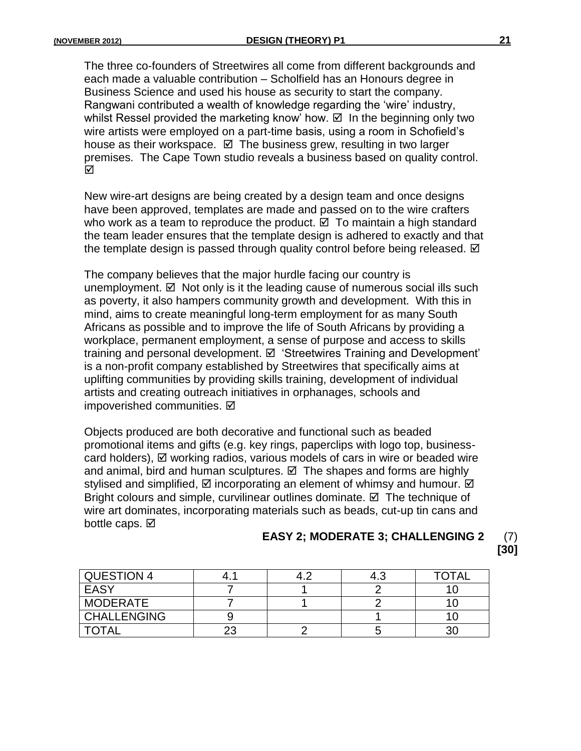The three co-founders of Streetwires all come from different backgrounds and each made a valuable contribution – Scholfield has an Honours degree in Business Science and used his house as security to start the company. Rangwani contributed a wealth of knowledge regarding the 'wire' industry, whilst Ressel provided the marketing know' how.  $\boxtimes$  In the beginning only two wire artists were employed on a part-time basis, using a room in Schofield's house as their workspace.  $\boxtimes$  The business grew, resulting in two larger premises. The Cape Town studio reveals a business based on quality control. ☑

New wire-art designs are being created by a design team and once designs have been approved, templates are made and passed on to the wire crafters who work as a team to reproduce the product.  $\boxtimes$  To maintain a high standard the team leader ensures that the template design is adhered to exactly and that the template design is passed through quality control before being released.  $\boxtimes$ 

The company believes that the major hurdle facing our country is unemployment.  $\boxtimes$  Not only is it the leading cause of numerous social ills such as poverty, it also hampers community growth and development. With this in mind, aims to create meaningful long-term employment for as many South Africans as possible and to improve the life of South Africans by providing a workplace, permanent employment, a sense of purpose and access to skills training and personal development.  $\boxtimes$  'Streetwires Training and Development' is a non-profit company established by Streetwires that specifically aims at uplifting communities by providing skills training, development of individual artists and creating outreach initiatives in orphanages, schools and impoverished communities. Ø

Objects produced are both decorative and functional such as beaded promotional items and gifts (e.g. key rings, paperclips with logo top, businesscard holders),  $\boxtimes$  working radios, various models of cars in wire or beaded wire and animal, bird and human sculptures.  $\boxtimes$  The shapes and forms are highly stylised and simplified,  $\boxtimes$  incorporating an element of whimsy and humour.  $\boxtimes$ Bright colours and simple, curvilinear outlines dominate.  $\boxtimes$  The technique of wire art dominates, incorporating materials such as beads, cut-up tin cans and bottle caps.  $\boxtimes$ 

#### **EASY 2; MODERATE 3; CHALLENGING 2** (7) **[30]**

| <b>QUESTION 4</b>  |  | 4.3 | <b>TOTAL</b> |
|--------------------|--|-----|--------------|
| <b>EASY</b>        |  |     |              |
| MODERATE           |  |     |              |
| <b>CHALLENGING</b> |  |     |              |
| <b>TOTAL</b>       |  |     |              |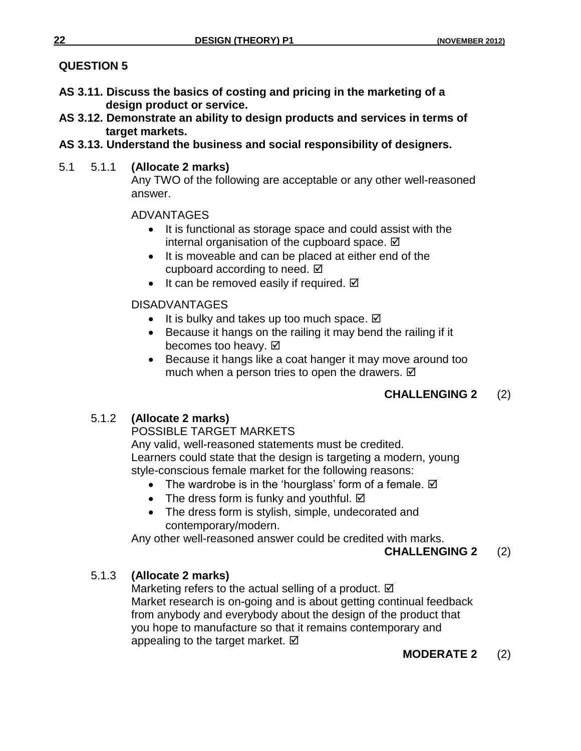# **QUESTION 5**

- **AS 3.11. Discuss the basics of costing and pricing in the marketing of a design product or service.**
- **AS 3.12. Demonstrate an ability to design products and services in terms of target markets.**
- **AS 3.13. Understand the business and social responsibility of designers.**
- 5.1 5.1.1 **(Allocate 2 marks)**

Any TWO of the following are acceptable or any other well-reasoned answer.

#### ADVANTAGES

- It is functional as storage space and could assist with the internal organisation of the cupboard space.  $\boxtimes$
- It is moveable and can be placed at either end of the cupboard according to need. Ø
- It can be removed easily if required.  $\boxtimes$

### DISADVANTAGES

- It is bulky and takes up too much space.  $\boxtimes$
- Because it hangs on the railing it may bend the railing if it becomes too heavy. Ø
- Because it hangs like a coat hanger it may move around too much when a person tries to open the drawers.  $\boxtimes$

# **CHALLENGING 2** (2)

# 5.1.2 **(Allocate 2 marks)**

### POSSIBLE TARGET MARKETS

Any valid, well-reasoned statements must be credited. Learners could state that the design is targeting a modern, young style-conscious female market for the following reasons:

- The wardrobe is in the 'hourglass' form of a female.  $\boxtimes$
- The dress form is funky and youthful.  $\boxtimes$
- The dress form is stylish, simple, undecorated and contemporary/modern.

Any other well-reasoned answer could be credited with marks.

**CHALLENGING 2** (2)

# 5.1.3 **(Allocate 2 marks)**

Marketing refers to the actual selling of a product. Ø Market research is on-going and is about getting continual feedback from anybody and everybody about the design of the product that you hope to manufacture so that it remains contemporary and appealing to the target market.  $\boxtimes$ 

**MODERATE 2** (2)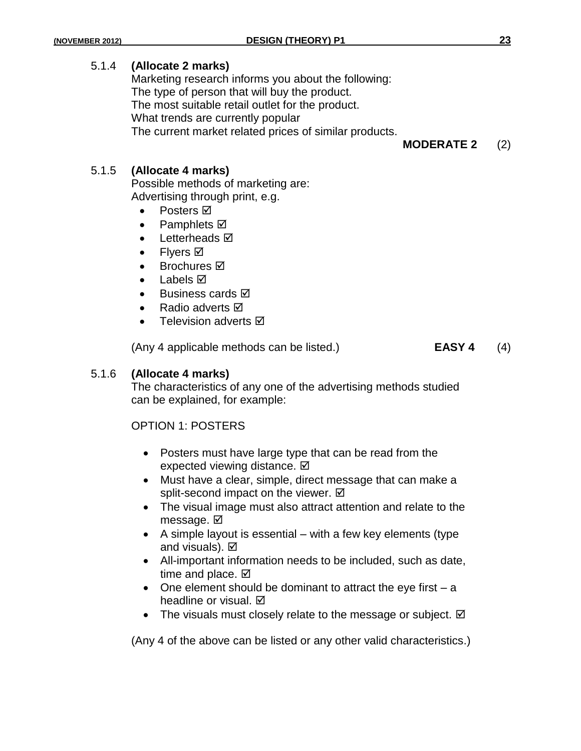#### 5.1.4 **(Allocate 2 marks)**

Marketing research informs you about the following: The type of person that will buy the product. The most suitable retail outlet for the product. What trends are currently popular The current market related prices of similar products.

**MODERATE 2** (2)

#### 5.1.5 **(Allocate 4 marks)**

Possible methods of marketing are: Advertising through print, e.g.

- Posters  $\boxtimes$
- Pamphlets  $\boxtimes$
- Letterheads  $\boxtimes$
- Flyers **⊠**
- **Brochures Ø**
- Labels **⊠**
- **Business cards** Ø
- Radio adverts **Ø**
- Television adverts **Ø**

(Any 4 applicable methods can be listed.) **EASY 4** (4)

#### 5.1.6 **(Allocate 4 marks)**

The characteristics of any one of the advertising methods studied can be explained, for example:

#### OPTION 1: POSTERS

- Posters must have large type that can be read from the expected viewing distance. **Ø**
- Must have a clear, simple, direct message that can make a split-second impact on the viewer. Ø
- The visual image must also attract attention and relate to the message. **☑**
- $\bullet$  A simple layout is essential with a few key elements (type and visuals). **Ø**
- All-important information needs to be included, such as date, time and place.  $\boxtimes$
- $\bullet$  One element should be dominant to attract the eye first  $-$  a headline or visual.  $\boxtimes$
- The visuals must closely relate to the message or subject.  $\boxtimes$

(Any 4 of the above can be listed or any other valid characteristics.)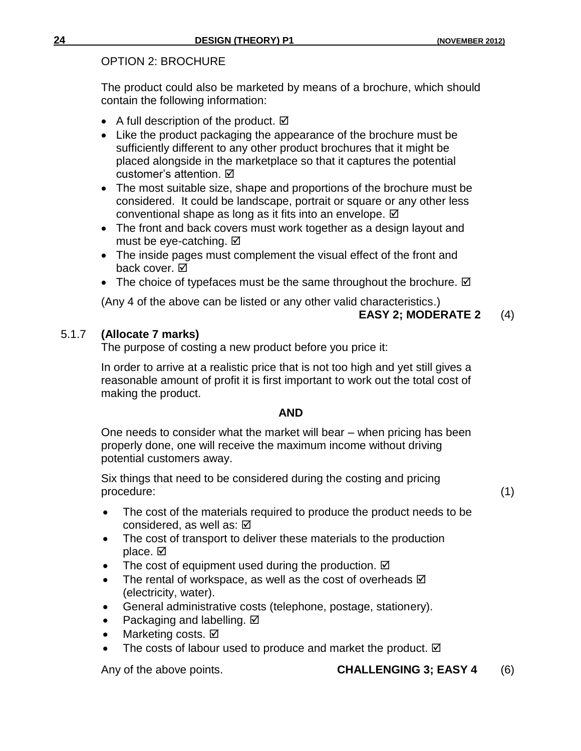#### OPTION 2: BROCHURE

The product could also be marketed by means of a brochure, which should contain the following information:

- A full description of the product.  $\boxtimes$
- Like the product packaging the appearance of the brochure must be sufficiently different to any other product brochures that it might be placed alongside in the marketplace so that it captures the potential customer's attention.
- The most suitable size, shape and proportions of the brochure must be considered. It could be landscape, portrait or square or any other less conventional shape as long as it fits into an envelope.  $\boxtimes$
- The front and back covers must work together as a design layout and must be eye-catching.  $\boxtimes$
- The inside pages must complement the visual effect of the front and back cover.  $\boxtimes$
- The choice of typefaces must be the same throughout the brochure.  $\boxtimes$

(Any 4 of the above can be listed or any other valid characteristics.)

#### **EASY 2; MODERATE 2** (4)

#### 5.1.7 **(Allocate 7 marks)**

The purpose of costing a new product before you price it:

In order to arrive at a realistic price that is not too high and yet still gives a reasonable amount of profit it is first important to work out the total cost of making the product.

#### **AND**

One needs to consider what the market will bear – when pricing has been properly done, one will receive the maximum income without driving potential customers away.

Six things that need to be considered during the costing and pricing procedure: (1)

- The cost of the materials required to produce the product needs to be considered, as well as:  $\boxtimes$
- The cost of transport to deliver these materials to the production place. Ø
- The cost of equipment used during the production.  $\boxtimes$
- The rental of workspace, as well as the cost of overheads  $\boxtimes$ (electricity, water).
- General administrative costs (telephone, postage, stationery).
- Packaging and labelling. Ø
- Marketing costs. Ø
- The costs of labour used to produce and market the product.  $\boxtimes$

### Any of the above points. **CHALLENGING 3; EASY 4** (6)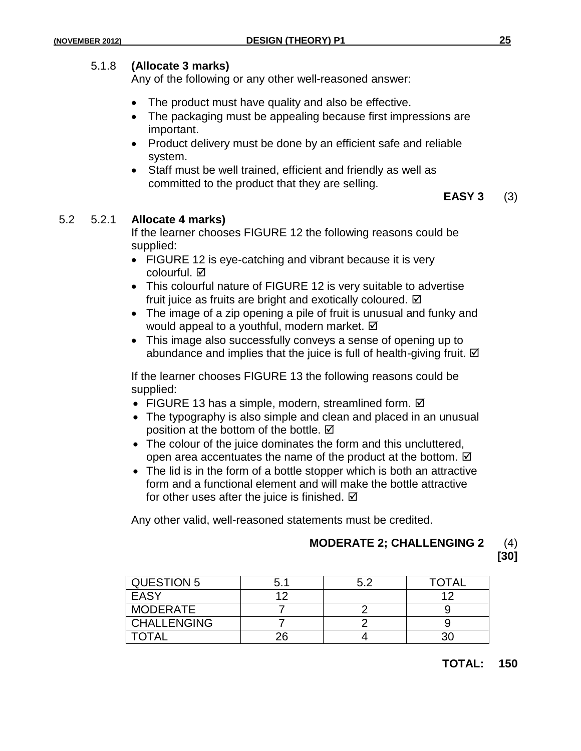#### 5.1.8 **(Allocate 3 marks)**

Any of the following or any other well-reasoned answer:

- The product must have quality and also be effective.
- The packaging must be appealing because first impressions are important.
- Product delivery must be done by an efficient safe and reliable system.
- Staff must be well trained, efficient and friendly as well as committed to the product that they are selling.

**EASY 3** (3)

#### 5.2 5.2.1 **Allocate 4 marks)**

If the learner chooses FIGURE 12 the following reasons could be supplied:

- FIGURE 12 is eye-catching and vibrant because it is very colourful. **☑**
- This colourful nature of FIGURE 12 is very suitable to advertise fruit juice as fruits are bright and exotically coloured.  $\boxtimes$
- The image of a zip opening a pile of fruit is unusual and funky and would appeal to a youthful, modern market.  $\boxtimes$
- This image also successfully conveys a sense of opening up to abundance and implies that the juice is full of health-giving fruit.  $\boxtimes$

If the learner chooses FIGURE 13 the following reasons could be supplied:

- $\bullet$  FIGURE 13 has a simple, modern, streamlined form.  $\boxtimes$
- The typography is also simple and clean and placed in an unusual position at the bottom of the bottle.  $\boxtimes$
- The colour of the juice dominates the form and this uncluttered, open area accentuates the name of the product at the bottom.  $\boxtimes$
- The lid is in the form of a bottle stopper which is both an attractive form and a functional element and will make the bottle attractive for other uses after the juice is finished.  $\boxtimes$

Any other valid, well-reasoned statements must be credited.

#### **MODERATE 2; CHALLENGING 2** (4) **[30]**

| <b>QUESTION 5</b>  | 5.1 | ς δ | <b>TOTAL</b> |
|--------------------|-----|-----|--------------|
| EASY               |     |     |              |
| <b>MODERATE</b>    |     |     |              |
| <b>CHALLENGING</b> |     |     |              |
| TOTAL              | 26  |     |              |

#### **TOTAL: 150**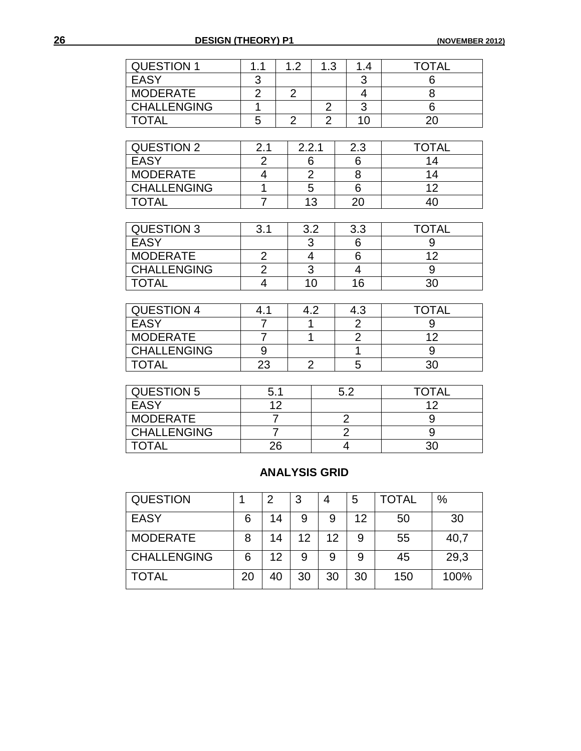| <b>QUESTION 1</b>  | 1.1            | 1.2            | 1.3            | 1.4                     | <b>TOTAL</b>    |
|--------------------|----------------|----------------|----------------|-------------------------|-----------------|
| EASY               | 3              |                |                | 3                       | 6               |
| <b>MODERATE</b>    | $\overline{2}$ | $\overline{2}$ |                | $\overline{\mathbf{4}}$ | 8               |
| <b>CHALLENGING</b> | 1              |                | $\overline{2}$ | $\overline{3}$          | $\overline{6}$  |
| <b>TOTAL</b>       | 5              | $\overline{2}$ | $\overline{2}$ | 10                      | 20              |
|                    |                |                |                |                         |                 |
| <b>QUESTION 2</b>  | 2.1            | 2.2.1          |                | 2.3                     | <b>TOTAL</b>    |
| <b>EASY</b>        | $\overline{2}$ |                | 6              | 6                       | 14              |
| <b>MODERATE</b>    | $\overline{4}$ |                | $\overline{2}$ | 8                       | 14              |
| <b>CHALLENGING</b> | $\overline{1}$ |                | $\overline{5}$ | 6                       | 12 <sub>2</sub> |
| <b>TOTAL</b>       | $\overline{7}$ |                | 13             | 20                      | 40              |
|                    |                |                |                |                         |                 |
| <b>QUESTION 3</b>  | 3.1            |                | 3.2            | 3.3                     | <b>TOTAL</b>    |
| <b>EASY</b>        |                |                | $\overline{3}$ | 6                       | 9               |
| <b>MODERATE</b>    | $\overline{c}$ |                | $\overline{4}$ | 6                       | 12 <sub>2</sub> |
| <b>CHALLENGING</b> | $\overline{2}$ |                | $\overline{3}$ | $\overline{4}$          | 9               |
| <b>TOTAL</b>       | $\overline{4}$ |                | 10             | 16                      | 30              |
|                    |                |                |                |                         |                 |
| <b>QUESTION 4</b>  | 4.1            |                | 4.2            | 4.3                     | <b>TOTAL</b>    |
| <b>EASY</b>        | $\overline{7}$ |                | 1              |                         | 9               |
| <b>MODERATE</b>    | $\overline{7}$ | $\overline{1}$ |                | $\frac{2}{2}$           | 12 <sub>2</sub> |
| <b>CHALLENGING</b> | 9              |                |                | $\overline{1}$          | 9               |
| <b>TOTAL</b>       | 23             |                | $\overline{2}$ | 5                       | 30              |
|                    |                |                |                |                         |                 |
| <b>QUESTION 5</b>  | 5.1            |                |                | 5.2                     | <b>TOTAL</b>    |
| <b>EASY</b>        | 12             |                |                |                         | 12              |
| <b>MODERATE</b>    | $\overline{7}$ |                |                | $\overline{2}$          | 9               |

# **ANALYSIS GRID**

CHALLENGING 7 2 9<br>TOTAL 26 4 30

TOTAL 26 4

| <b>QUESTION</b>    |    | 2  | 3  | 4  | 5  | TOTAL | $\%$ |
|--------------------|----|----|----|----|----|-------|------|
| <b>EASY</b>        | 6  | 14 | 9  | 9  | 12 | 50    | 30   |
| <b>MODERATE</b>    | 8  | 14 | 12 | 12 | 9  | 55    | 40,7 |
| <b>CHALLENGING</b> | 6  | 12 |    |    |    | 45    | 29,3 |
| <b>TOTAL</b>       | 20 | 40 | 30 | 30 | 30 | 150   | 100% |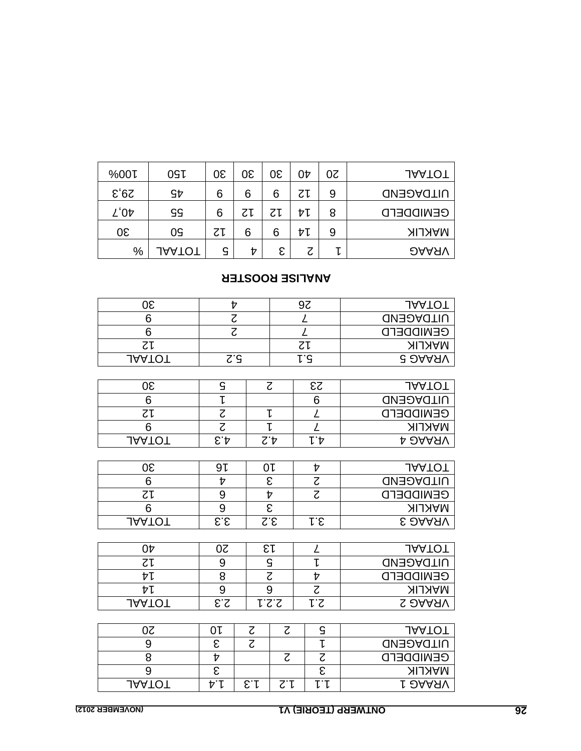| %00L | OS <sub>L</sub> | 30 | 30 | 30 | 0Þ | 50 | <b>JAATOT</b>    |
|------|-----------------|----|----|----|----|----|------------------|
| 50,5 | SÞ              | 6  | 6  | 6  | てし | 9  | <b>UITDAGEND</b> |
| 40'Z | SS              | 6  | ΖĻ | てし | ヤレ | 8  | <b>GENIDDEFD</b> |
| 30   | 09              | てし | 6  | 6  | ヤレ | 9  | <b>MAKLIK</b>    |
| %    | <b>JAATOT</b>   | G  | t  | ε  | Z  | ı  | <b>DAARV</b>     |

# **ANALISE ROOSTER**

| 30             | Þ                                                                                                                              |                          |                          | 97                          | <b>JAATOT</b>    |
|----------------|--------------------------------------------------------------------------------------------------------------------------------|--------------------------|--------------------------|-----------------------------|------------------|
| 6              | $\overline{\mathcal{C}}$                                                                                                       |                          | $\overline{\mathcal{L}}$ |                             | <b>UITDAGEND</b> |
| $\overline{6}$ | $\overline{\mathcal{C}}$                                                                                                       |                          |                          | $\overline{\mathcal{L}}$    | <b>GENIDDEFD</b> |
| 71             |                                                                                                                                |                          |                          | 71                          | <b>MAKLIK</b>    |
| <b>JAATOT</b>  | $\mathsf{S}^{\cdot}\mathsf{S}$                                                                                                 |                          |                          | ι'ς                         | <b>G DAAAV</b>   |
|                |                                                                                                                                |                          |                          |                             |                  |
| 30             | $\mathbf{G}% _{T}=\mathbf{G}_{T}\!\left( \mathbf{G}_{T}\right) ,\mathbf{G}_{T}=\mathbf{G}_{T}\!\left( \mathbf{G}_{T}\right) ,$ |                          | $\zeta$                  | $\delta$                    | <b>JAATOT</b>    |
| 6              | $\overline{\mathsf{L}}$                                                                                                        |                          |                          | 6                           | <b>UITDAGEND</b> |
| 7٢             | $\overline{z}$                                                                                                                 |                          | ŀ                        | $\overline{L}$              | <b>GEWIDDEFD</b> |
| $\overline{6}$ | $\overline{\mathcal{C}}$                                                                                                       |                          | l                        | $\overline{\mathcal{L}}$    | <b>MAKLIK</b>    |
| <b>JAATOT</b>  | $\mathcal{E}.\mathsf{A}$                                                                                                       |                          | $\zeta$ .4               | <b>レヤ</b>                   | <b>A DAARV</b>   |
|                |                                                                                                                                |                          |                          |                             |                  |
| 30             | 91                                                                                                                             | 0 L                      |                          | Þ                           | <b>JAATOT</b>    |
| 6              | Þ                                                                                                                              |                          | $\overline{\epsilon}$    | $\overline{\mathcal{C}}$    | <b>UITDAGEND</b> |
| <b>Z</b>       | 9                                                                                                                              |                          | $rac{1}{\epsilon}$       | $\overline{\mathcal{C}}$    | <b>GENIDDEFD</b> |
| $\overline{6}$ | $\overline{9}$                                                                                                                 |                          |                          |                             | <b>MAKLIK</b>    |
| <b>JAATOT</b>  | $\mathsf{S}.\mathsf{S}$                                                                                                        |                          | $\mathsf{S}.\mathsf{S}$  | r.e                         | <b>S DAAAV</b>   |
|                |                                                                                                                                |                          |                          |                             |                  |
| $0\nu$         | $0\overline{c}$                                                                                                                |                          | εı                       | $\mathcal{L}_{\mathcal{L}}$ | <b>JAATOT</b>    |
| <b>ZI</b>      | 9                                                                                                                              |                          | $\overline{S}$           | $\mathsf L$                 | <b>UITDAGEND</b> |
| ヤレ             | $\overline{\mathbf{8}}$                                                                                                        |                          | $\overline{\mathcal{C}}$ | $\overline{v}$              | <b>GEWIDDEFD</b> |
| ÞΙ             | $\overline{9}$                                                                                                                 |                          | $\overline{9}$           | $\overline{z}$              | <b>MAKLIK</b>    |
| <b>JAATOT</b>  | 2.3                                                                                                                            |                          | <b>1.2.1</b>             | <u>r.s</u>                  | <b>S DAARV</b>   |
|                |                                                                                                                                |                          |                          |                             |                  |
| 20             | 0 L                                                                                                                            | $\zeta$                  | $\zeta$                  | $\mathsf{G}$                | <b>JAATOT</b>    |
| 9              | $\overline{\varepsilon}$                                                                                                       | $\overline{\mathcal{Z}}$ |                          | $\overline{L}$              | <b>UITDAGEND</b> |
| $\overline{8}$ | $\overline{v}$                                                                                                                 |                          | $\overline{c}$           | $\overline{\mathcal{C}}$    | <b>CENIDDEFD</b> |
| 9              | ε                                                                                                                              |                          |                          | $\overline{\epsilon}$       | <b>MAKLIK</b>    |
| <b>JAATOT</b>  | Þ. Μ                                                                                                                           | E.f                      | $Z^{\cdot}$              | いし                          | <b>LOAASV</b>    |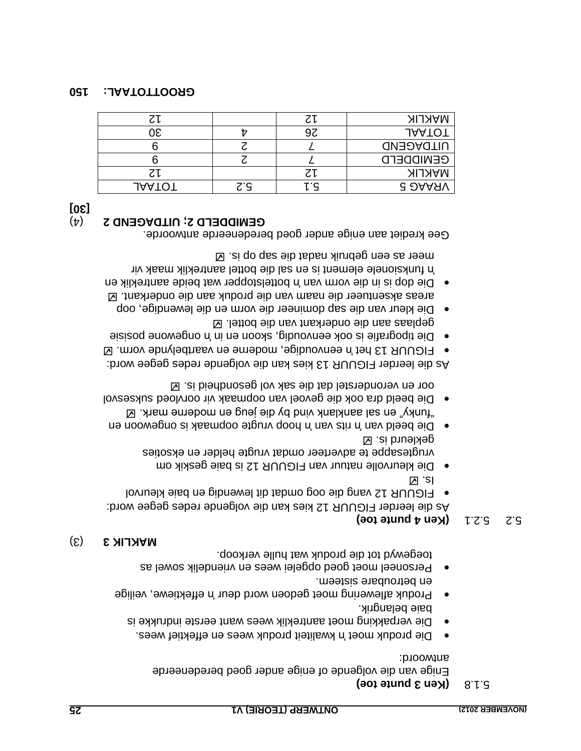#### **(Ken 3 punte toe)** 5.1.8

Enige van die volgende of enige ander goed beredeneerde antwoord:

- Die produk moet 'n kwaliteit produk wees en effektief wees.
- verpakking moet aantreklik wees want eerste indrukke is Die baie belangrik.
- Produk aflewering moet gedoen word deur 'n effektiewe, veilige en betroubare sisteem.
- Personeel moet goed opgelei wees en vriendelik sowel as toegewyd tot die produk wat hulle verkoop.

### (3) **MAKLIK 3**

### $5.2 \div 5.2 \div 1$  (Ken 4 punte toe)

As die leerder FIGUUR 12 kies kan die volgende redes gegee word: FIGUUR 12 vang die oog omdat dit lewendig en baie kleurvol

- $\boxtimes$  . sl Die kleurvolle natuur van FIGUUR 12 is baie geskik om vrugtesappe te adverteer omdat vrugte helder en eksoties . gekleurd is
- hoow van is van 'n rits van 'n roop vrugte oopmaak is van die oopmaak van die beeld van die beeld van die beel  $\boxtimes$  : xhem entrankland by die jeug en moderne mark.  $\boxtimes$
- our Die beeld dra ook die gevoel van oopmaak vir oorvloed suksesvol oor en veronderstel dat die sak vol gesondheid is.

As die leerder FIGUUR 13 kies kan die volgende redes gegee word:

- FIGUUR 13 het 'n eenvoudige, moderne en vaartbelynde vorm. E
- ongewone posisie is ook eenvoudig, skoon en in 'n Die boeisie is ongewone posisie geplaas aan die onderkant van die bottel.  $\boxtimes$
- Die kleur van die sap domineer die vorm en die lewendige, oop areas aksentueer die naam van die produk aan die onderkant. E Die dop is in die vorm van 'n bottelstopper wat beide aantreklik en

funksionele element is en sal die bottel aantreklik maak vir 'n meer as een gebruik nadat die sap op is.

Gee krediet aan enige ander goed beredeneerde antwoorde.

# (4) **UITDAGEND 2 ; GEMIDDELD 2**

#### **[30]**

|               |     | てし | <b>MAKLIK</b>    |
|---------------|-----|----|------------------|
| 30            |     | 97 | <b>JAATOT</b>    |
|               |     |    | <b>UITDAGEND</b> |
|               |     |    | <b>GEWIDDEFD</b> |
|               |     | Ζl | <b>MAKLIK</b>    |
| <b>JAATOT</b> | Z.d | ۰q | <b>G DAAAV</b>   |

#### **150 AL: A OT OOTT GR**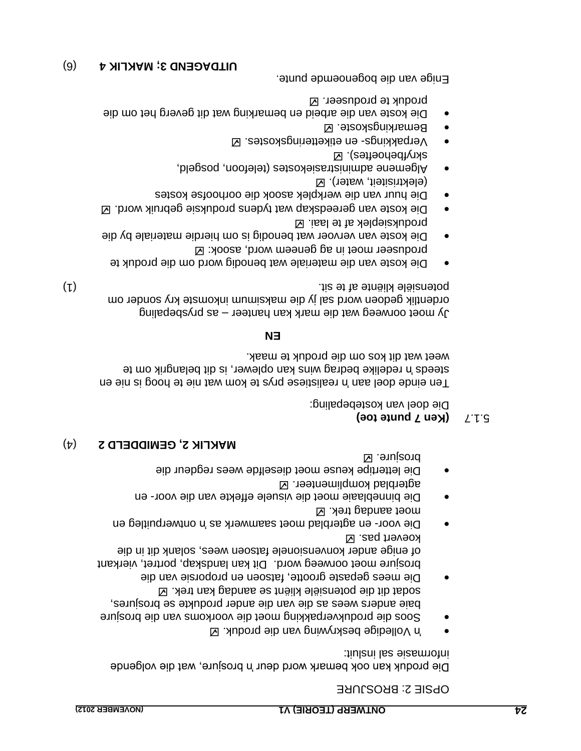OPSIE 2: BROSJURE

Die produk kan ook bemark word deur 'n brosjure, wat die volgende informasie sal insluit:

- Volledige beskrywing van die produk. 'n
- Soos die produkverpakking moet die voorkoms van die brosjure baie anders wees as die van die ander produkte se brosjures, sodat dit die potensiële kliënt se aandag kan trek. Die mees gepaste grootte, fatsoen en proporsie van die
- brosjure moet oorweeg word. Dit kan landskap, portret, vierkant of enige ander konvensionele fatsoen wees, solank dit in die koevert pas. **Z**
- Die voor- en agterblad moet saamwerk as 'n ontwerpuitleg en moet aandag trek.  $\boxtimes$
- Die binneblaaie moet die visuele effekte van die voor- en agterblad komplimenteer.
- Die lettertipe keuse moet dieselfde wees regdeur die brosjure.

### (4) **MAKLIK 2, GEMIDDELD 2**

# **S.1.7 (Ken 7 punte toe)**

Die doel van kostebepaling:

Ten einde doel aan it mealistiese prys te kom wat nie te hoog is nie en redelike bedrag wins kan oplewer, is dit belangrik om te 'n steeds weet wat dit kos om die produk te maak.

#### **EN**

 $\gamma$  moet oorweeg wat die mark kan hanteer – as prysbepaling ordentlik gedoen word sal jy die maksimum inkomste kry sonder om (1) potensiële kliënte af te sit. Dit meer te sit. Dit meer te sit. Dit meer te sit. Dit meer te sit. Dit meer te sit. Dit meer te sit. Dit meer te sit. Dit meer te sit. Dit meer te sit. Dit meer te sit. Dit meer te sit. D

- Die koste van die materiale wat benodig word om die produk te produseer moet in ag geneem word, asook:  $\boxtimes$
- Die koste van vervoer wat benodig is om hierdie materiale by die produksieplek af te laai.
- Die koste van gereedskap wat tydens produksie gebruik word.
- Die huur van die werkplek asook die oorhoofse kostes (elektrisiteit, water).
- Algemene administrasiekostes (telefoon, posgeld, skryfbehoeftes).
- Verpakkings- en etiketieringskostes.  $\boxtimes$
- Bemarkingskoste. Ø
- Die koste van die arbeid en bemarking wat dit geverg het om die produk te produseer. **Z**

Enige van die bogenoemde punte.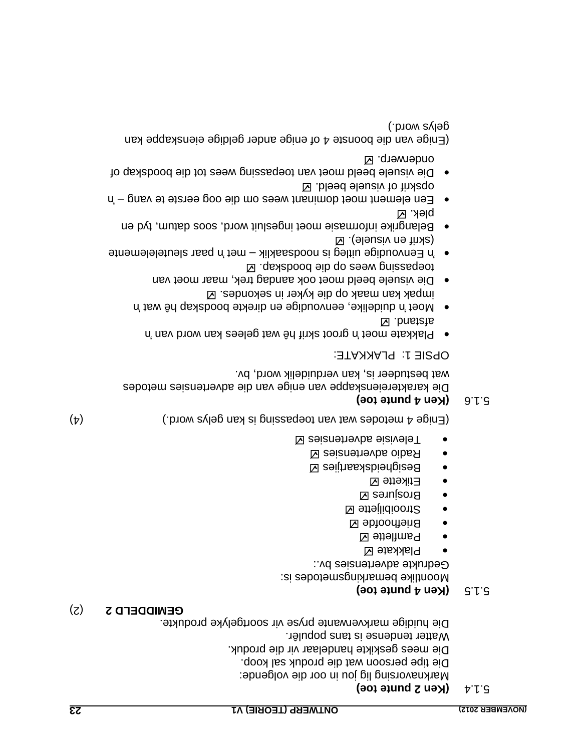#### **(Ken 2 punte toe) 5.1.4**

vorsing lig jou in oor die volgende: a Markn Die tipe persoon wat die produk sal koop. Die mees geskikte handelaar vir die produk. Watter tendense is tans populêr. Die huidige markverwante pryse vir soortgelyke produkte.

# (2) **GEMIDDELD 2**

#### **(Ken 4 punte toe)** 5.1.5

Moontlike bemarkingsmetodes is: Gedrukte advertensies by: Plakkate

- Pamflette Ø
- Briefhoofde **Z**
- Strooibiljette
- Brosjures
- e Etikette **Z**
- **Besigheidskaartjies Z**
- Radio advertensies
- Televisie advertensies

(4) (Enige 4 metodes wat van debassing is kan gelys word.)

# **(Ken 4 punte toe)** 5.1.6

Die karaktereienskappe van enige van die advertensies metodes wat bestudeer is, kan verduidelik word, bv.

OPSIE 1: PLAKKATE:

- 'n groot skrif hê wat gelees kan word van 'n Plakkate moet **N** .bnstate
- 'n duidelike, eenvoudige en direkte boodskap hê wat 'n Moet impak kan maak op die kyker in sekondes.
- Die visuele beeld moet ook aandag trek, maar moet van ⊠ . qsakbood eib qo геем pniazaqeot
- $\bullet$  'n Eenvoudige uitleg is noodsaaklik met 'n paar sleutelemente ⊠ .(ələusiv nə tinxa).
- Belangrike informasie moet ingesluit word, soos datum, tyd en plek. Ø
- Een element moet dominant wees om die oog eerste te vang  $-$  in opskrif of visuele beeld.
- Die visuele beeld moet van toepassing wees tot die boodskap of onderwerp. **Z**

(Enige van die boonste 4 of enige ander geldige eienskappe kan ) gelys word.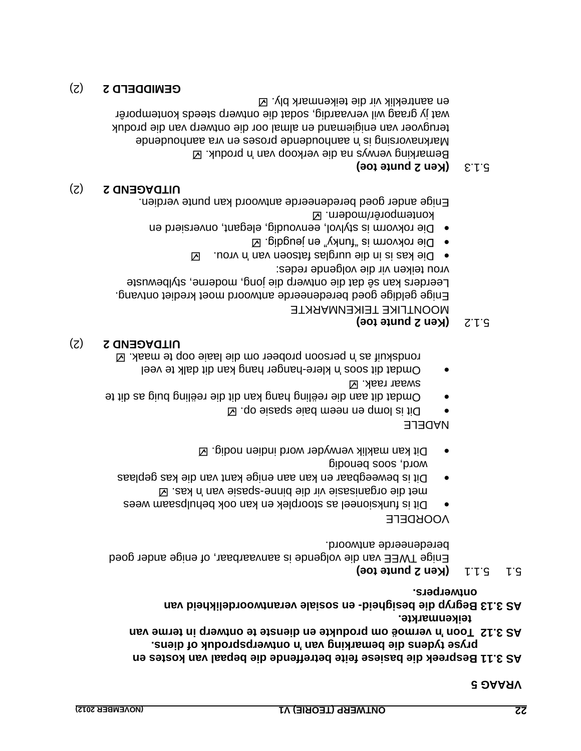#### **VRAAG 5**

- **reek die basiese feite betreffende die bepaal van kostes en p AS 3.11 Bes** pryse tydens die pemarking van **bemarking van die bemarking van** *Lensia* van *Lensia* van *Lensia* van *Lensia* van *Lensia* van *Lensia* van *Lensia* van *Lensia* van *Lensia* van *Lensia* van *Lensia* van *Lensia* van
- **As 3.12 Toon'n or modum on produkte en diensie te ontwerp in terms van**  $\mathbf{A}$ **teikenmarkte.**

 **en sosiale verantwoordelikheid van - besigheid AS 3.13 Begryp die ontwerpers.** 

### $5.1 \cdot 1.1 \cdot 1.1$  **(Ken 2 punte toe)**

Enige TWEE van die volgende is aanvaarbaar, of enige ander goed eredeneerde antwoord. b

### VOORDELE

- Dit is funksioneel as stoorplek en kan ook behulpsaam wees  $\boxtimes$  . sex n' mev eizeqe-ennid eib niv eizezinspro eib tem
- Dit is beweegbaar en kan aan enige kant van die kas geplaas word, soos benodig
- **Dit kan maklik verwyder word indien nodig.**  $\boxtimes$

### NADELE

- Dit is lomp en neem baie spasie op. El
- Omdat dit aan die reëling hang kan dit die reëling buig as dit te swaar raak.
- leeven dit soos 'n klere-hanger hang kan dit dalk te veel persoon op die doou probeer om die laaie oop te maak. E

#### ) 2( **UITDAGEND 2**

# **S.1.2 (Ken 2 punte toe)**

MOONTLIKE TEIKENMARKTE Enige geldige goed beredeneerde antwoord moet krediet ontvang. Leerders kan sê dat die ontwerp die jong, moderne, stylbewuste vrou teiken vir die volgende redes:

- $\blacksquare$  vrou.  $\blacksquare$  we have the nurglas factor and  $\blacksquare$
- Die rokvorm is "runky" en jeugdig. ⊠
- Die rokvorm is stylvol, eenvoudig, elegant, onversierd en kontemporêr/modern. Ø

Enige ander goed beredeneerde antwoord kan punte verdien.

### (2) **UITDAGEND 2**

# **S.1.3 (Ken 2 punte toe)**

Bemarking verwys na die verkoop van 'n produk.  $\boxtimes$ abhoudende proses is a proses en vra aanboudende proses en vra ander en vra annumentale en markende in Markors terugvoer van enigiemand en almal oor die ontwerp van die produk wat jy graag wil vervaardig, sodat die ontwerp steeds kontemporêr en aantreklik vir die teikenmark bly.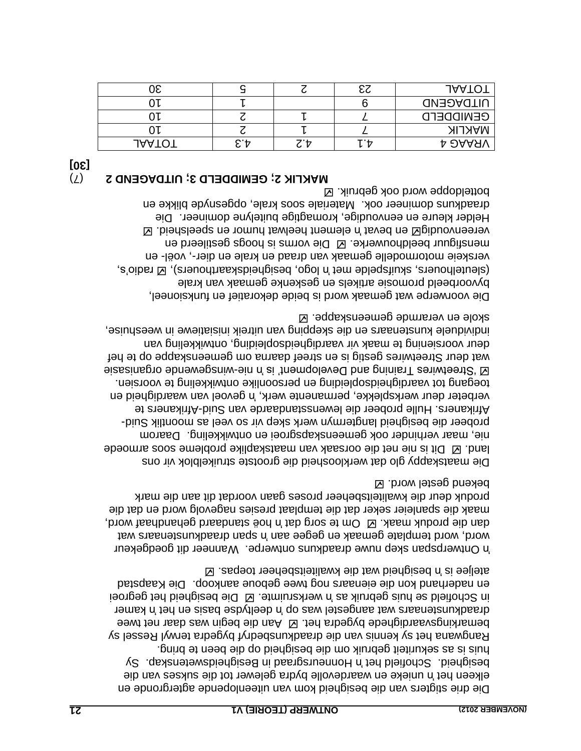Die drie stigters van die besigheid kom van uiteenlopende agtergronde en elkeen het 'n unieke en waardevolle bydra gelewer tot die sukses van die Sy Honneursgraad in Besigheidswetenskap. 'n Schofield het besigheid. huis is as sekuriteit gebruik om die besigheid op die been te bring. Rangwana het sy kennis van die draadkunsbedryf bygedra terwyl Ressel sy bemarkingsvaardighede bygedra het.  $\boxtimes$  Aan die begin was daar net twee kamer is deelt wat aangestel was op 'n deeltydse basis en het 'n kamer in Schofield se huis gebruik as 'n werksruimte. El Die bedigheid het gegroei en naderhand kon die eienaars nog twee geboue aankoop. Die Kaapstad e is a beigheid wat die kwaliteitsbeheer toepas. E

Wanneer dit goedgekeur Ontwerpspan skep nuwe draadkuns ontwerpe. 'n span draadkunstenaar wat in word template wat in word wat wat wat wat wat wat wat word tempelate wat tempelate  $\alpha$ dan die produk maak.  $\boxtimes$  om te sorg dat n'a bod die brondaard word, maak die spanleier seker dat die templaat presies nagevolg word en dat die produk deur die kwaliteitsbeheer proses gaan voordat dit aan die mark bekend gestel word.

Die maatskappy glo dat werkloosheid die grootste struikelblok vir ons Dit is nie net die oorsaak van maatskaplike probleme soos armoede land. nie, maar verhinder ook gemeenskapsgroei en ontwikkeling. Daarom - probeer die besigheid langtermyn werk skep vir so veel as moontlik Suid Afrikaners. Hulle probeer die lewenstandaarde van Suid-Afrikaners te verbeter deur werksplekke, permanente werk, 'n gevoel van waardigheid en toegang tot vaardigheidsbeiding en persoonlike ontwikkeling te voorsien. wisses are funcional our gevelopment, is no been as expended organisate organisate r Streetwires gestig is en streef daarna om gemeenskappe op te hef wat deu deur voorsiening te maak vir vaardigheidsopleiding, ontwikkeling van individuele kunstenaars en die skepping van uitreik inisiatiewe in weeshuise, skole en verarmde gemeenskappe.

Die voorwerpe wat gemaak word is beide dekoratief en funksioneel, byvoorbeeld promosie artikels en geskenke gemaak van krale (sleutelhouers, skuifspelde met 'n logo, besigheidskaarthouers),  $\boxtimes$  radio's, verskeie motormodelle gemaak van draad en krale en dier-, voël- en mensfiguur beeldhouwerke.  $\boxtimes$  Die vorms is hoogs gestileerd en vereenvoudig $\boxtimes$  nee bevat in element heelwat humor en speelsheid.  $\boxtimes$ Helder kleure en eenvoudige, kromagtige buitelyne domineer. Die draadkuns domineer ook. Materiale soos krale, opgesnyde blikke en botteldoppe word ook gebruik.  $\boxtimes$ 

| [05] |                                                       |  |
|------|-------------------------------------------------------|--|
|      | <b>NVKLIK 3: GEMIDDELD 3: UITDAGEND 2</b> $(\lambda)$ |  |

|               |   |  | <b>JAATOT</b>    |
|---------------|---|--|------------------|
|               |   |  | <b>UITDAGEND</b> |
|               |   |  | <b>GENIDDEFD</b> |
|               |   |  | <b>NAKLIK</b>    |
| <b>JAAIOI</b> | T |  | <b>A DAAAV</b>   |
|               |   |  |                  |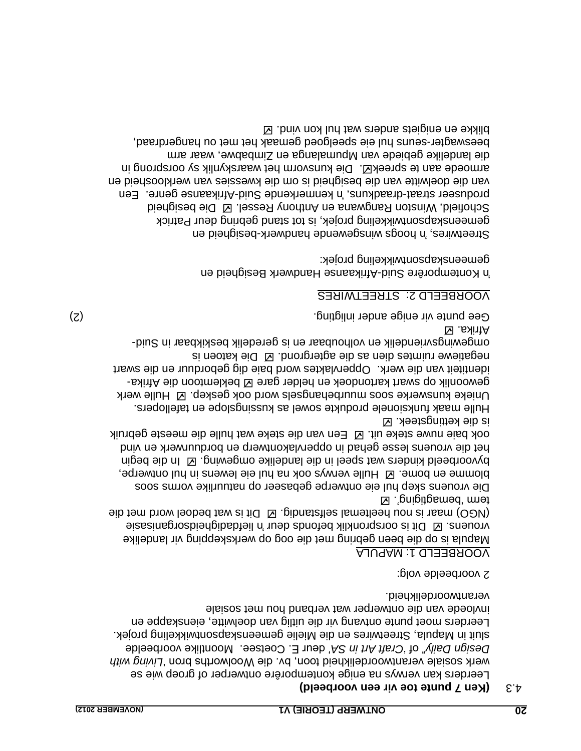### **toe vir een voorbeeld) (Ken 7 punte** 4.3

Leerders kan verwys na enige kontemporêre ontwerper of groep wie se werk sosiale verantwoordelikheid toon, bv. die Woolworths bron 'Living with Design Daily" of 'Craft Art in SA' deur E. Coetsee. Moontlike voorbeelde sluit in Mapula, Streetwires en die Mielie gemeenskapsontwikkeling projek. Leerders moet punte ontvang vir die uitlig van doelwitte, eienskappe en invloede van die ontwerper wat verband hou met sosiale verantwoordelikheid.

2 voorbeelde volg:

### MAPULA 1: VOORBEELD

is op die been gebring met die oog op werkskepping vir landelike Mapula wionens. Ø Dit is oorspronklik befonds deur 'n liefdadigheidsorganisasie  $\Theta$ ib tem brow leobed tew at if  $\Omega$  . gibristates lamet die signal word met die term 'bemagtiging'. E

Die vrouens skep hul eie ontwerpe gebaseer op natuurlike vorms soos blomme en bome.  $\boxtimes$  Hulle verwys ook na hul eie lewens in hul ontwerpe, In die begin . byvoorbeeld kinders wat speel in die landelike omgewing het die vrouens lesse gehad in oppervlakontwerp en borduurwerk en vind ook baie nuwe steke uit.  $\boxtimes$  Een van die steke wat hulle die meeste gebruik is die kettingsteek.

Hulle maak funksionele produkte sowel as kussingslope en tafellopers. Unieke kunswerke soos muurbehangsels word ook geskep. Ø Hulle werk gewoonlik op swart kartondoek en helder gare  $\boxtimes$  beklemtoon die Afrika-Oppervlaktes word baie dig geborduur en die swart identiteit van die werk. Die katoen is negatiewe ruimtes dien as die agtergrond. omgewingsvriendelik en volhoubaar en is geredelik beskikbaar in Suid-

) 2( Gee punte vir enige ander inligting.

Afrika.

# STREETWIRES VOORBEELD 2:

in Kontemporêre Suid-birikaanse Handwerk Besigheid en gemeenskapsontwikkeling projek:

Streetwires, 'n hoogs winsgewende handwerk-besigheid en gemeenskapsontwikkeling projek, is tot stand gebring deur Patrick Schofield, Winston Rangmana en Anthony Ressel. El Die besigheid produseer straat-draadkuns, 'n kenmerkende Suid-Afrikaanse genre. Een van die doelwitte van die besigheid is om die kwessies van werkloosheid en Die kunsvorm het waarskynlik sy oorsprong in . armoede aan te spreek die langelike gebiede van Mpumalanga en Zimbabwe, waar arm peezwagter-zenuz pul eie speelgoed gemaak het met ou hangerdraad, likke en enigiets anders wat hul kon vind. b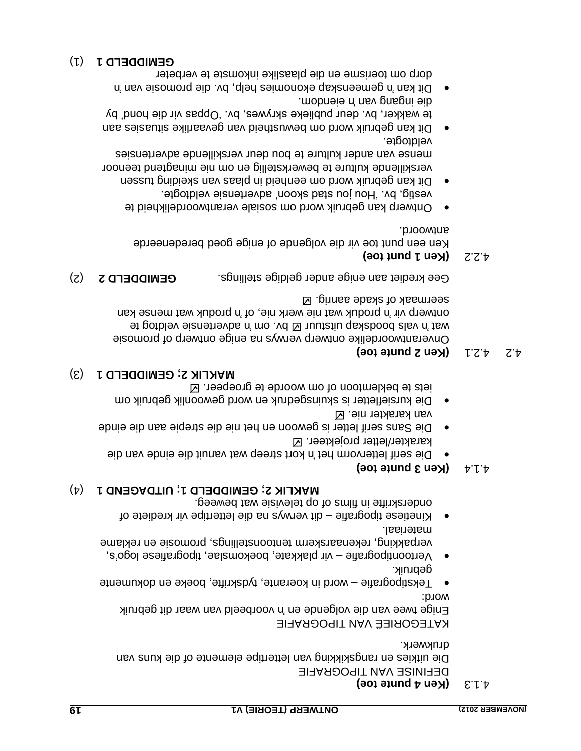### **(Ken 4 punte toe)** 4.1.3

DEFINISE VAN TIPOGRAFIE van Die uitkies en rangskikking van lettertipe elemente of die kuns drukwerk.

KATEGORIEË VAN TIPOGRAFIE

Enige twee van die volgende en 'n voorbeeld van waar dit gebruik word:

- Tekstipografie word in koerante, tydskrifte, boeke en dokumente gebruik.
- $\bullet$  Vertoontipografie vir plakkate, boekomslae, tipografiese logo's, verpakking, rekenaarskerm tentoonstellings, promosie en reklame materiaal.
- Kinetiese tipografie dit verwys na die lettertipe vir krediete of onderskrifte in films of op televisie wat beweeg.

# (4) **UITDAGEND 1 ; GEMIDDELD 1 ; MAKLIK 2**

### **a**  $\forall$   $\forall$  **(Ken 3 punte toe)**

- Die serif lettervorm het 'n kort streep wat vanuit die einde van die karakter/letter projekteer. **Z**
- Die Sans serif letter is gewoon en het nie die strepie aan die einde van karakter nie. Ø
- Die kursiefletter is skuinsgedruk en word gewoonlik gebruik om iets te beklemtoon of om woorde te groepeer.

### (3) **GEMIDDELD 1 ; MAKLIK 2**

# $\forall$  3.2.1 **(Ken 2 punte toe)**

Onverantwoordelike ontwerp verwys na enige ontwerp of promosie at gotblev eiznetrens in vid E vultatiu gakebood alsv n't av produk wat mense kan in produk wat nie werk nie 'n produk wat mense kan seermaak of skade aanrig.

Gee krediet aan enige ander geldige stellings. **GEMIDDELD 2** (2)

# **(Bot triangle 1 punt toe)**

Ken een punt toe vir die volgende of enige goed beredendeerde antwoord.

- Ontwerp kan gebruik word om sosiale verantwoordelikheid te vestig, bv. "Hou jou stad skoon" advertensie veldtogte.
- Dit kan gebruik word om eenheid in plaas van skeiding tussen verskillende kulture te bewerkstellig en om nie minagtend teenoor mense van ander kulture te bou deur verskillende advertensies veldtogte.
- sies aan Dit kan gebruik word om bewustheid van gevaarlike situa te wakker, bv. deur publieke skrywes, bv. 'Oppas vir die hond' by eie ingang van in die van die van die
- Dit kan 'n gemeenskap ekonomies help, by. die promosie van 'n dorp om toerisme en die plaaslike inkomste te verbeter

### (1) **GEMIDDELD 1**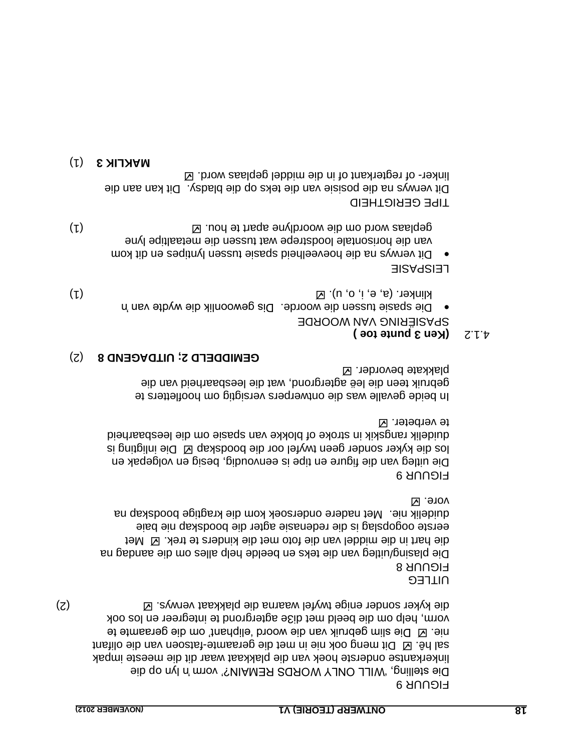FIGUUR 9 pie stelling, 'WILL ONLY WORDS REMAIN?' vorm 'n lyn op die linkerkantse onderste hoek van die plakkaat waar dit die meeste impak fatsoen van die Dit meng ook nie in met die geraamte fatwe naar die olifant Die slim gebruik van die woord "eliphant" om die geraamte te nie. vorm, help om die beeld met di3e agtergrond te integreer en los ook (2) verwys. die kyker sonder enige twyfel waarna die plakkaat

UITLEG

FIGUUR 8 Die plasing/uitleg van die teks en beelde help alles om die aandag na die hart in die hart die toto met die kinders te trek. El Met eerste oogopslag is die redenasie agter die boodskap nie baie Met nadere ondersoek kom die kragtige boodskap na duidelik nie. vore. **Z** 

FIGUUR 9

Die uitleg van die figure en tipe is eenvoudig, besig en volgebak en los die kyker sonder geen twyfel oor die boodskap  $\boxtimes$  Die inligting is duidelik rangskik in stroke of blokke van spasie om die leesbaarheid te verbeter. **Ø** 

In beide gevalle was die ontwerpers versigtig om hoofletters te gebruik teen die leë agtergrond, wat die leesbaarheid van die plakkate bevorder.

#### (2) **UITDAGEND 8 ; GEMIDDELD 2**

# **(Ken 3 punte toe )**

SPASIËRING VAN WOORDE

o Die spasie tussen die woorde. Dis gewoonlik die wydte van 'n klinker. (a, e, i, o, u).  $\boxtimes$ 

LEISPASIE

Dit verwys na die hoeveelheid spasie tussen lyntipes en dit kom van die horisontale loodstrepe wat tussen die metaaltipe lyne (1) Geplaas word om die woordlyne apart te hou.  $\boxtimes$ 

TIPE GERIGTHEID

Dit verwys na die posisie van die teks op die bladsy. Dit kan aan die linker- of regterkant of in die middel geplaas word.  $\boxtimes$ 

(1) **MAKLIK 3**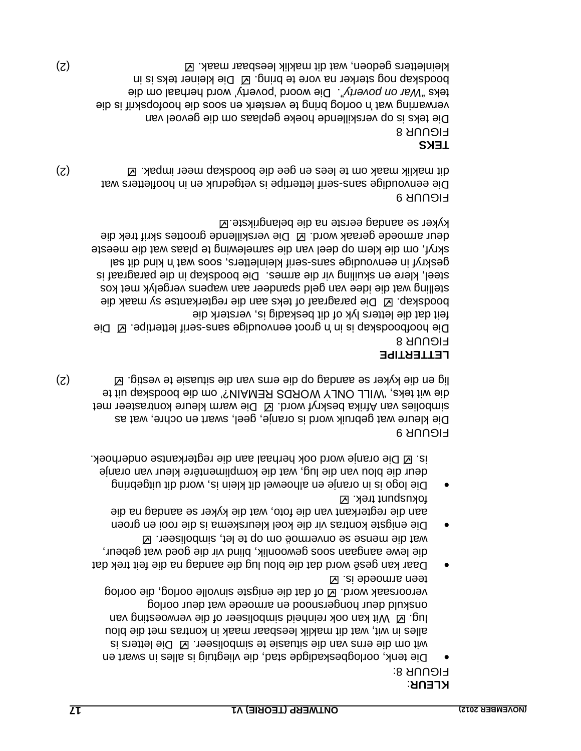# : **KLEUR**

FIGUUR 8:

- Die tenk, oorlogbeskadigde stad, die vliegtuig is alles in swart en Die letters is wit om die erns van die situasie te simboliseer. alles in wit, wat dit maklik leesbaar maak in kontras met die blou Iug.  $\boxtimes$  imerges in the inpolliseer of die verwoesting van onskuld deur hongersnood en armoede wat deur oorlog oorlog of dat die enigste sinvolle oorlog, die veroorsaak word. teen armoede is.
- Daar kan gesê word dat die blou lug die aandag na die feit trek dat die lewe aangaan soos gewoonlik, blind vir die goed wat gebeur, wat die mense se onvermoë om op te let, simboliseer.  $\boxtimes$
- Die enigste kontras vir die koel kleurskema is die rooi en groen aan die regterkant van die foto, wat die kyker se aandag na die fokuspunt trek. Ø
- Die logo is in oranje en alhoewel dit klein is, word dit uitgebring deur die blou van die lug, wat die komplimentêre kleur van oranje is.  $\boxtimes$  Die oranje word ook herhaal aan die regterkantse onderhoek.

FIGUUR 9 Die kleure wat gebruik word is oranje, geel, swart en ochre, wat as simbolies van Afrika beskryf word. El Die warm kleure kontrasteer met die wit teks, 'WILL ONLY WORDS REMAIN?' om die boodskap uit te (2) lig en die kyker se aandag op die erns van die situasie te vestig.

# **LETTERTIPE**

FIGUUR 8

Die hoofboodskap is in 'n groot eenvoudige sans-serif lettertipe.  $\boxtimes$  Die feit dat die letters lyk of dit beskadig is, versterk die boodskap.  $\boxtimes$  Die paragraaf of teks aan die regterkantse sy maak die stelling wat die idee van geld spandeer aan wapens vergelyk met kos steel, klere en skuiling vir die armes. Die boodskap in die paragraaf is les tib bnix n' tew soos endeliethers, soos wat 'n kind dit sal skryf, om die klem op deel van die samelewing te plaas wat die meeste deur armoede geraak word. Ø Die verskillende groottes skrif trek die kyker se aandag eerste na die belangrikste.  $\boxtimes$ 

# FIGUUR 9

Die eenvoudige sans-serif lettertipe is vetgedruk en in hoofletters wat (2) dit maklik maak om te lees en gee die boodskap meer impak.

**TEKS** FIGUUR 8 Die teks is op verskillende hoeke geplaas om die gevoel van verwarring wat 'n oorlog bring te versterk en soos die hoofopskrif is die teks "War on poverty". Die woord 'poverty' word herhaal om die

boodskap nog sterker na vore te bring. Ø Die kleiner teks is in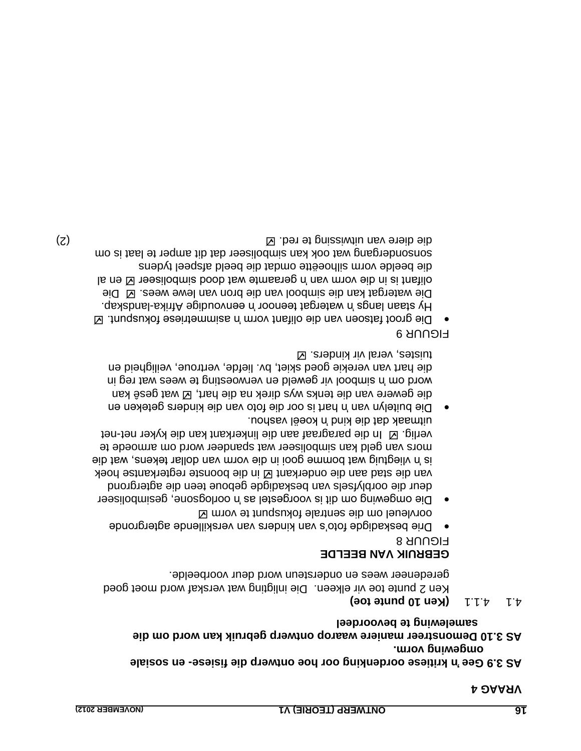#### **VRAAG 4**

# **en sosiale - kritiese oordenking oor hoe ontwerp die fisiese 'n Gee AS 3.9 omgewing vorm.**

#### **Demonstreer maniere waarop ontwerp gebruik kan word om die AS 3.10 samelewing te bevoordeel**

# $\mathcal{A} \cup \mathcal{A} \cup \mathcal{A}$  **(Ken 10 punte toe)**

Ken 2 punte toe vir elkeen. Die inligting wat verskaf word moet goed geredeneer wees en ondersteun word deur voorbeelde.

### **GEBRUIK VAN BEELDE**

**FIGUUR 8** 

- Drie beskadigde foto"s van kinders van verskillende agtergronde oorvleuel om die sentrale fokuspunt te vorm
- Die omgewing om dit is voorgestel as 'n oorlogsone, gesimboliseer deur die oorblyfsels van beskadigde geboue teen die agtergrond van die stad aan die onderkant  $\boxtimes$  in die boonste regterkantse hoek is 'n vliegtuig wat bomme gooi in die vorm van dollar tekens, wat die mors van geld kan simboliseer wat spandeer word om armoede te verlig.  $\boxtimes$  In die paragraaf aan die linkerkant kan die kyker net-net uitmaak dat die kind 'n koeël vashou.
- Die buitelyn van 'n hart is oor die foto van die kinders geteken en die gewere van die tenks wys direk na die hart, Ø wat gesê kan word om 'n epodom vir geweld en verwoesting te wees wat reg in die hart van verekie goed skiet, bv. liefde, vertroue, veiligheid en tuistes, veral vir kinders.

#### FIGUUR 9

 Die groot fatsoen van die olifant vorm 'n asimmetriese fokuspunt. lands is appear and staan de afrikal van die Afrika-landskap. Die watergat kan die simbool van die bron van lewe wees. El Die le ne $\boxtimes$  is easilodmize boob tew etmosteg n' nev mov eib ni si thetilo die beelde vorm silhoeëtte omdat die beeld afspeel tydens to an amper te laat ook kan simpoliseer dat dit anger te laat is om (2) aang te red. ⊠ beris te red. Die van uitwissing te red. Die van die red. Die van die van die van die van die van die van die van die van die van die van die van die van die van die van die van die van die van die van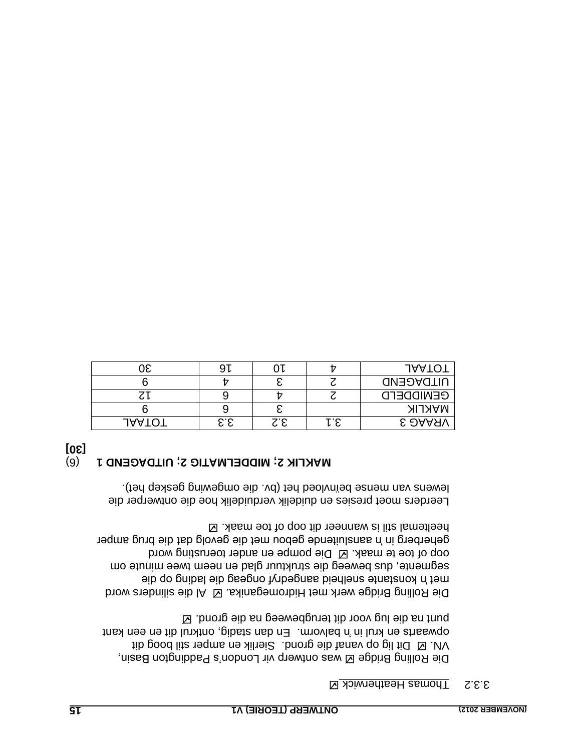#### S.2. Thomas Heatherwick <sup>12</sup>

Die Rolling Bridge & was ontwerp vir London's Paddington Basin, VN. **Ø Dit lig op vanaf die grond.** Sierlik en amper stil boog dit dit en een krul in 'n balvorm. En dan stadig, ontkrul dit en een kant punt na die lug voor dit terugbeweeg na die grond. E

Die Rolling Bridge werk met Hidromeganika. El Al die silnders word met 'n konstante snelheid aangedryf ongeag die lading op die segmente, dus beweeg die struktuur glad en neem twee minute om oop of toe te maak.  $\boxtimes$  Die pompe en ander toentering word geherberg in 'n aansluitende gebou met die gevolg dat die brug amper heeltemal stil is wanneer dit oop of toe maak.

Leerders moet presies en duidelik verduidelik hoe die ontwerper die lewens van mense benivloed het (bv. die omgewing geskep het).

# **MAKLIK 2; MIDDELMATIG 2; UITDAGEND 1** (6)

**[30]**

|               |     |     |    | <b>JAATO</b>     |
|---------------|-----|-----|----|------------------|
|               |     |     |    | <b>UITDAGEND</b> |
| ⊾ د           |     |     |    | <b>GENIDDEFD</b> |
|               |     |     |    | <b>MAKLIK</b>    |
| <b>JAATOT</b> | 3.3 | S.E | ÷с | <b>E DAAAV</b>   |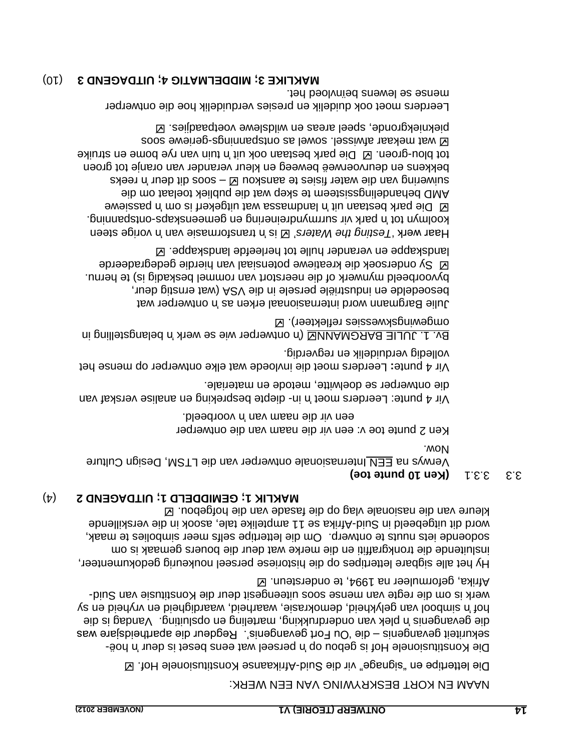#### NAAM EN KORT BESKRYWING VAN EEN WERK:

 $\boxtimes$  . ToH elenoisutitano $\lambda$  eans shith-biu $\geq$  eib niv "spangis" ne eqittettel ei $\Box$ 

Die Konstitusionele Hof is gebou op 'n perseel wat eens beset is deur 'n hoëdie "Ou Fort gevangenis". Regdeur die apartheidsjare was – sekuriteit gevangenis Vandag is die plek van onderdrukking, marteling en opsluiting. 'n die gevangenis simbool van gelykheid, demokrasie, waarheid, waardigheid en vryheid en sy 'n hof werk is om die regte van mense soos uiteengesit deur die Konstitusie van Suid-Afrika, geformuleer na 1994, te ondersteun.

Hy het alle sigbare lettertipes op die historiese perseel noukeurig gedokumenteer, insluitende die tronkgraffiti en die merke wat deur die bouers gemaak is om Sodoende iets nuuts te ontwerp. Om die lettertipe selfs meer simbolies te maak, word dit uitgebeeld in Suid-blinka se 11 amptelike tale, asook in die verskillende kleure van die nasionale vlag op die fasade van die hofgebou.

#### ) 4( **UITDAGEND 2 ; GEMIDDELD 1 ; MAKLIK 1**

#### **(Ken 10 punte toe) 3.3.1 3.3.3.1**  $\mathbb{R}^3$ **.**

Verwys na EEN Internasionale ontwerper van die LTSM, Design Culture Now.

Ken 2 punte toe v: een vir die naam van die ontwerper een vir die naam van in voorbeeld.

Vir 4 punte: Leerders moet 'n in-diepte bespreking en analise verskaf van die ontwerper se doelwitte, metode en materiale.

Leerders moet die invloede wat elke ontwerper op mense het **:** Vir 4 punte volledig verduidelik en regverdig.

By. 1. JULIE BARGMANNE ('n ontwerper wie se werk 'n belangstelling in omgewingskwessies reflekteer).

Julie Bargmann word internasionaal erken as 'n ontwerper wat , iu de bitant is wat die van die VSA (wat ernstig deur, byvoorbeeld mynwerk of die neerstort van rommel beskadig is) te hernu. Sy ondersoek die kreatiewe potensiaal van hierdie gedegradeerde landskappe en verander hulle tot herleefde landskappe.  $\boxtimes$ 

vorige steen 'n transformasie van 'n is " *Testing the Waters* Haar werk " koolmyn tot 'n park vir surrmyndreinering en gemeenskaps-ontspanning. B Die park bestaan uit 'n landmassa wat uitgekerf is om 'n passiewe AMD behandelingssisteem te skep wat die publiek toelaat om die  $s$ an soos –  $\boxtimes$  uoxanes te aanskou and the water suppose as a suite and  $s$ bekkens en deurvoerweë beweeg en kleur verander van oranje tot groen tot blou-groen.  $\boxtimes$  Die park bestaan ook uit 'n tuin van rye bome en struike goos eweiteg-spanned as lewos lessiwis tasked as one piekniekgronde, speel areas en wildslewe voetpaadjies.  $\boxtimes$ 

Leerders moet ook duidelik en presies verduidelik hoe die ontwerper mense se lewens beïnvloed het.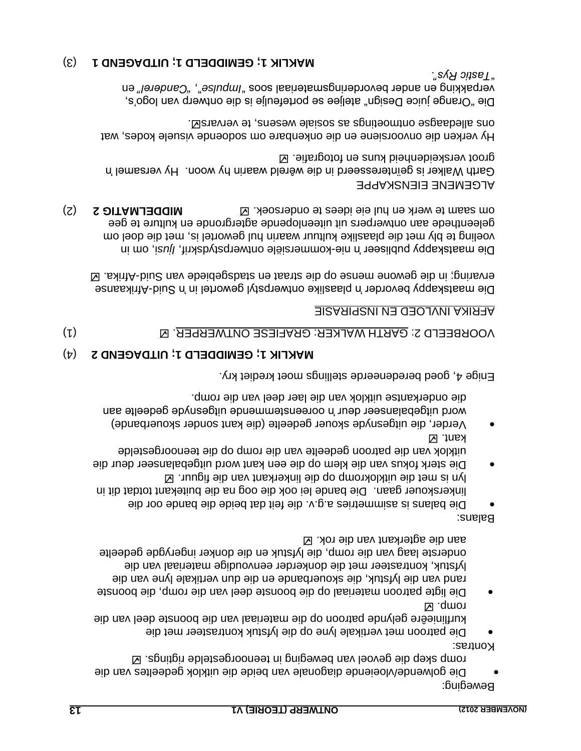Beweging: Die golwende/vloeiende diagonale van beide die uitklok gedeeltes van die romp skep die gevoel van beweging in teenoorgestelde rigtings. E

Kontras: Die patroon met vertikale lyne op die lyfstuk kontrasteer met die kurflinieêre gelynde patroon op die materiaal van die boonste deel van die

Die ligte patroon materiaal op die boonste deel van die romp, die boonste rand van die lyfstuk, die skouerbande en die dun vertikale lyne van die lyfstuk, kontrasteer met die donkerder eenvoudige materiaal van die onderste laag van die romp, die lyfstuk en die donker ingerygde gedeelte aan die agterkant van die rok.

Balans:

romp. **M** 

- Die balans is asimmetries a.g.v. die feit dat beide die bande oor die linkerskouer gaan. Die bande lei ook die oog na die buitekant totdat dit in lyn is met die uitklokromp op die linkerkant van die figuur.
- Die sterk fokus van die klem op die een kant word uitgebalanseer deur die uitklok van die patroon gedeelte van die romp op die teenoorgestelde kant. **Z**
- Verder, die uitgesnyde skouer gedeelte (die kant sonder skouerbande) word uitgebalanseer deur 'n ooreenstemmende uitgesnyde gedeelte aan uite onderkantse uitklok van die laer deel van die romp.

Enige 4, goed beredeneerde stellings moet krediet kry.

# (4) **MAKLIK 1; GEMIDDELD 1; UITDAGEND 2**

(1) . GARTH WALKER: GRAFIESE ONTWERPER VOORBEELD 2:

### AFRIKA INVLOED EN INSPIRASIE

Afrikaanse - Die maatskappy bevorder 'n plaaslike ontwerpstyl gewortel in 'n Suid Afrika. - ervaring; in die gewone mense op die straat en stadsgebiede van Suid

Die maatskappy publiseer 'n nie-kommersiële ontwerpstydskrif, *ljusi*, om in voeling te bly met die plaaslike kultuur waarin hul gewortel is, met die doel om geleenthede aan ontwerpers uit uiteenlopende agtergronde en kulture te gee **OM SABIG 2 DITAMITG 2 CONDITIG 2 CONDITIG 2 CONDITIG 2 CONDITIG 2 CONDITIG 2 CONDITIG 2 CONDITIG 2 CONDITIG 2 CONDITIG 2 CONDITIG 2 CONDITIG 2 CONDITIG 2 CONDITIG 2 CONDITIG 2 CONDITIG 2 CO** 

# ALGEMENE EIENSKAPPE

Garth Walker is geïnteresseerd in die wêreld waarin hy woon. Hy versamel 'n groot verskeidenheid kuns en fotografie.

Hy verken die onvoorsiene en die onkenbare om sodoende visuele kodes, wat . Natis alle dagage ontwoetings as a sport and as allements and  $\Xi$ 

Die "Orange juice Design" ateljee se portefeulje is die ontwerp van logo"s, en *Parepue is* "estugent bevordering en anderels en anderel" en anderel son *Tastic Rys".* "

### (3) **GEMIDDELD 1; UITDAGEND 1 MAKLIK 1;**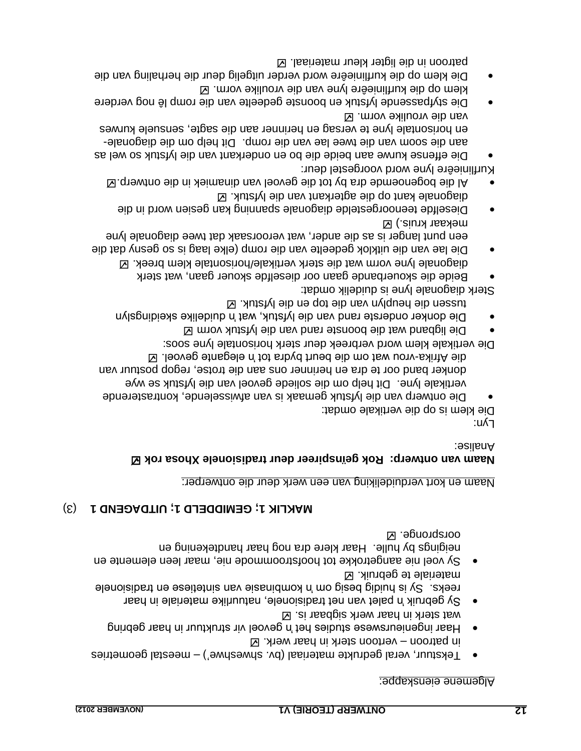#### Algemene eienskappe:

- Tekstuur, veral gedrukte materiaal (bv. shweshwe') meestal geometries  $\boxtimes$  . Werroon sterk in haar werk.  $\boxtimes$
- Haar ingenieurswese studies het 'n gevoel vir struktuur in haar gebring wat sterk in haar werk sigbaar is.  $\boxtimes$
- Sy gebruik 'n palet van net tradisionele, natuurlike materiale in haar slandisibent na eseitetnis nev eizenidmox n' mo piesa pibiun ai v2 . axes. materiale te gebruik. **Z**
- Sy voel nie aangetrokke tot hoofstroommode nie, maar leen elemente en neigings by hulle. Haar klere dra nog haar handtekening en oorspronge. **Ø**

# (3) **GEMIDDELD 1; UITDAGEND 1 MAKLIK 1;**

#### Naam en kort verduideliking van een werk deur die ontwerper:

### **Naam van ontwerp: Rok geïnspireer deur tradisionele Xhosa rok** Analise:

∶uʎ¬

Die klem is op die vertikale omdat:

Die ontwerp van die lyfstuk gemaak is van afwisselende, kontrasterende vertikale lyne. Dit help om die soliede gevoel van die lyfstuk se wye donker band oor te dra en herinner ons aan die trotse, regop postuur van W. Ieoveg etnagele n' tot snbyd trued eib mo tsw uonv-sxintA eib

Die vertikale klem word verbreek deur sterk horisontale lyne soos:

- Die ligband wat die boonste rand van die lyfstuk vorm
- Die donker onderste rand van die lyfstuk, wat 'n duidelike skeidingslyn tussen die heuplyn van die top en die lyfstuk. E

Sterk diagonale lyne is duidelik omdat:

- Beide die skouerbande gaan oor dieselfde skouer gaan, wat sterk
- diagonale lyne vorm wat die sterk vertikale/horisontale klem breek. Die lae van die uitklok gedeelte van die romp (elke laag is so gesny dat die een punt langer is as die ander, wat veroorsaak dat twee diagonale lyne mekaar kruis.) Ø
- Dieselfde teenoorgestelde diagonale spanning kan gesien word in die agonale kant op die agterkant van die lyfstuk.  $\boxtimes$
- Al die bogenoemde dra by tot die gevoel van dinamiek in die ontwerp.
- Kurflinieêre lyne word voorgestel deur:
- Die effense kurwe aan beide die bo en onderkant van die lyfstuk so wel as aan die soom van die dewee lae van die romp. Dit help om die diagonaleen horisontale lyne te versag en herinner aan die sagte, sensuele kurwes van die vroulike vorm.
- Die styfpassende lyfstuk en boonste gedeelte van die romp lê nog verdere klem op die kurflinieêre lyne van die vroulike vorm.
- Die klem op die kurflinieêre word verder uitgelig deur die herhaling van die patroon in die ligter kleur materiaal.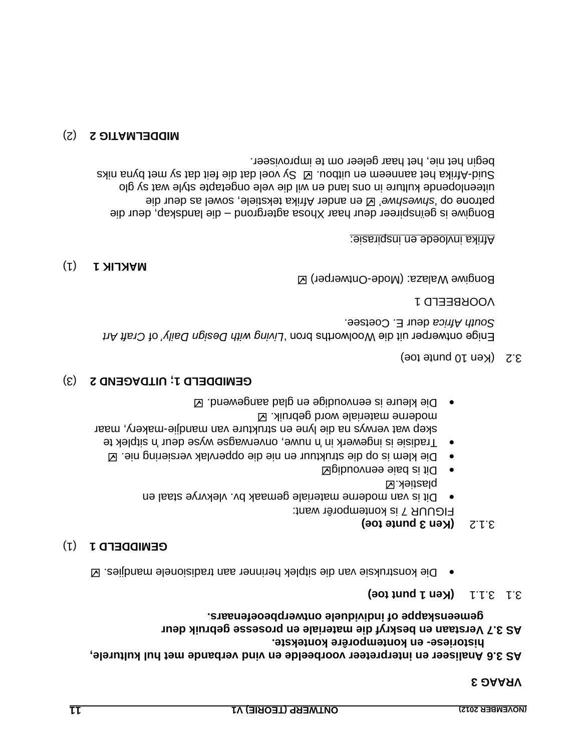#### **VRAAG 3**

# **AS 3.6 Analiseer en interpreteer voorbeelde en vind verbande met hul kulturele,** historiese- en kontemporêre kontekste.

#### **Verstaan en beskryf die materiale en prosesse gebruik deur AS 3.7 gemeenskappe of individuele ontwerpbeoefenaars.**

#### $3.1 \cdot 1.1$  (Ken 1 punt toe)

Die konstruksie van die sitplek herinner aan tradisionele mandjies.  $\boxtimes$ 

#### (1) **GEMIDDELD 1**

### **(Ken 3 punte toe)**

FIGUUR 7 is kontemporêr want: Dit is van moderne materiale gemaak bv. vlekvrye staal en

- plastiek. Dit is baie eenvoudig
- Die klem is op die struktuur en nie die oppervlak versiering nie.
- Fragisie is ingewerk in 'n nuwe, onverwagse wyse deur 'n sitplek te skep wat verwys na die lyne en strukture van mandjie-makery, maar moderne materiale word gebruik.  $\boxtimes$
- Die kleure is eenvoudige en glad aangewend.

### (3) **UITDAGEND 2 ; GEMIDDELD 1**

#### (Ken 10 punte toe) 3.2

Enige ontwerper uit die Woolworths bron 'Living with Design Daily' of Craft Art South Africa deur E. Coetsee.

#### VOORBEELD 1

Bongiwe Walaza: (Mode-Ontwerper)  $\boxtimes$ 

#### (1) **MAKLIK 1**

#### Afrika invloede en inspirasie:

Bongiwe is geïnspireer deur haar Xhosa agtergrond – die landskap, deur die perroue op 'shweshwe'  $\boxtimes$  ander Afrika tekstiele, sowel as deur die uiteenlopende kulture in ons land en wil die vele ongetapte style wat sy glo Sy voel dat die feit dat die feit dat die feit dat sy wet byna niks sy met byna niks  $\alpha$ begin het nie, het haar geleer om te improviseer.

#### (2) **MIDDELMATIG 2**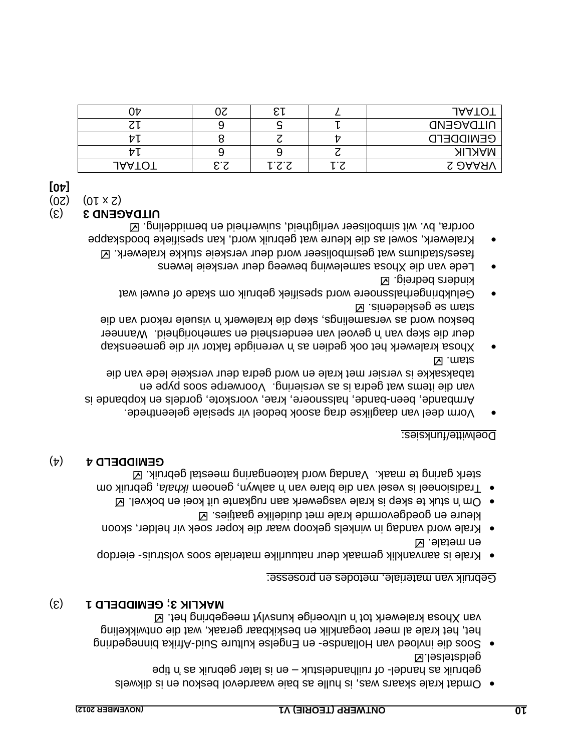- beskou en is die van is die van is die van die skaard van die verskaar van die verskaar van die van die van die wa gebruik as handel- of ruilhandelstuk – en is later gebruik as handel geldstelsel.
- **•** Soos die invloed van Hollands- en Engelse kulture Suid-binds and an engedequing het, het krale al meer toeganklik en beskikbaar geraak, wat die ontwikkeling van Xhosa kralewerk tot 'n uitvoerige kunsvlyt meegebring het.

#### (3) **GEMIDDELD 1 ; MAKLIK 3**

#### Gebruik van materiale, metodes en prosesse:

- eierdop is aanvanklik gemaak deur natuurlike materiale soos volstruis- eierdop en metale.
- Krale word vandag in winkels gekoop waar die koper soek vir helder, skoon kleure en goedgevormde krale met duidelike gaatjies.
- $\blacksquare$  levas de skep is krale vasgewerk aan rugkante uit koei en bokvel.  $\boxtimes$
- om Tradisioneel is vesel van die blare van in aalwyn, genoem ikhala, gebruik om sterk garing te maak. Vandag word katoengaring meestal gebruik.

### **GEWIDDELD**  $\mathbf{t}$  $(\mathbf{t})$

### Doelwitte/funksies:

- Vorm deel van daaglikse drag asook bedoel vir spesiale geleenthede. Armbande, been-bande, halssnoere, krae, voorskote, gordels en kopbande is van die items wat gedra is as versiering. Voorwerpe soos pype en tabaksakke is versier met krale en word gedra deur verskeie lede van die **Stam.**  $\boxtimes$
- verenigde faktor vir die gemeenskap 'n Xhosa kralewerk het ook gedien as Wanneer gevoel van eendersheid en samehorigheid. 'n deur die skep van beskou word as versamelings, skep die kralewerk 'n visuele rekord van die stam se geskiedenis.
- Gelukbringerhalssnoere word spesifiek gebruik om skade of euwel wat kinders beqreig.  $\boxtimes$
- Lede van die Xhosa samelewing beweeg deur verskeie lewens fases/stadiums wat gesimboliseer word deur verskeie stukke kralewerk.
- Kralewerk, sowel as die kleure wat gebruik word, kan spesifieke boodskappe oordra, bv. wit simboliseer verligtheid, suiwerheid en bemiddeling.  $\boxtimes$

#### (3) **UITDAGEND 3**

- $(0z)$   $(01 \times z)$
- **[40]**

| ∋₽            |                   |      |     | <b>JAATO</b>     |
|---------------|-------------------|------|-----|------------------|
| しレ            |                   |      |     | <b>UITDAGEND</b> |
| <b>Π7</b> μ   |                   |      |     | <b>GENIDDEFD</b> |
| ワレ            |                   |      |     | <b>MAKLIK</b>    |
| <b>JAATO!</b> | <b></b><br>Ō<br>◡ | 7'3′ | . . | <b>S DAARV</b>   |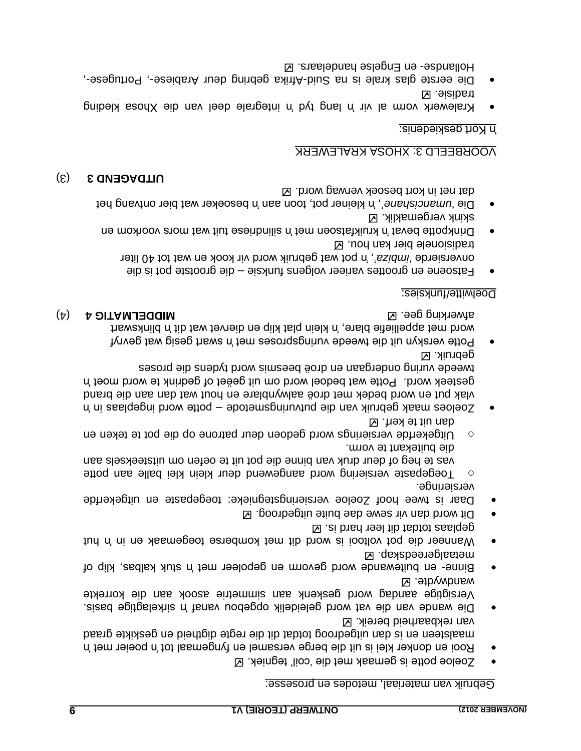#### van materiaal, metodes en prosesse: Gebruik

- Zoeloe potte is gemaak met die "coil" tegniek.
- Rooi en donker klei is uit die berge versamel en fyngemaal tot 'n poeier met 'n maalsteen en is dan uitgedroog totdat dit die regte digtheid en geskikte graad van rekbaarheid bereik. Ø
- Die wande van die vat word geleidelik opgebou vanaf 'n sirkelagtige basis. Versigtige aandag word geskenk aan simmetrie asook aan die korrekte wandwydte. Ø
- · Binne- en buitewande word gevorm en gepoleer met n'ans klak kalbas, klip of metaalgereedskap.
- Wanneer die pot voltooi is word dit met komberse toegemaak en in 'n hut  $\boxtimes$  . at b and the lib table total samples
- Dit word dan vir sewe dae buite uitgedroog.
- Daar is twee hoof Zoeloe versieringstegnieke: toegepaste en uitgekerfde
- versieringe.  $\circ$  Toegepaste versiering word aangewend deur klein klei balle aan potte vas te heg of deur druk van binne die pot uit te oefen om uitsteeksels aan die buitekant te vorm.
- $\circ$  Uitgekerfde versierings word gedoen deur patrone op die pot te teken en o dan uit te kerf. Ø
- $n<sub>q</sub>$  are potted in suppose many van die putvuring and word indeplase in  $n<sub>q</sub>$ vlak put en word bedek met droë aalwynblare en hout wat dan aan die brand gesteek word. Potte wat bedoel word om uit geëet of gedrink te word moet in tweede vuring ondergaan en droë beezma ivroed tydens die proses gepruik. <sub>N</sub>
- Potte verskyn uit die tweede vuringsproses met 'n swart gesig wat gevryf word met appelliefie blare, 'n klein plat klip en diervet wat dit 'n blinkswart ) 4( **MIDDELMATIG 4** afwerking gee.

### Doelwitte/funksies:

- Fatsoene en groottes varieer volgens funksie die grootste pot is die ", 'n pot wat gebruik word vir kook en wat tot 40 liter *imbiza* onversierde " tradisionele bier kan hou.
- Drinkpotte bevat 'n kruikfatsoen met 'n silindriese tuit wat mors voorkom en skink vergemaklik.
- Die 'umancishane', 'n kleiner pot, toon aan 'n besoeker wat bier ontvang het at net in kort besoek verwag word. d

#### (3) **3 UITDAGEND**

# VOORBEELD 3: XHOSA KRALEWERK

### 'n Kort geskiedenis:

- Kralewerk vorm al vir 'n lang tyd 'n integrale deel van die Xhosa kleding tradisie. Z
- Die eerste glas krale is na Suid-Afrika gebring deur Arabiese-, Portugese-, Hollandse- en Engelse handelaars.  $\boxtimes$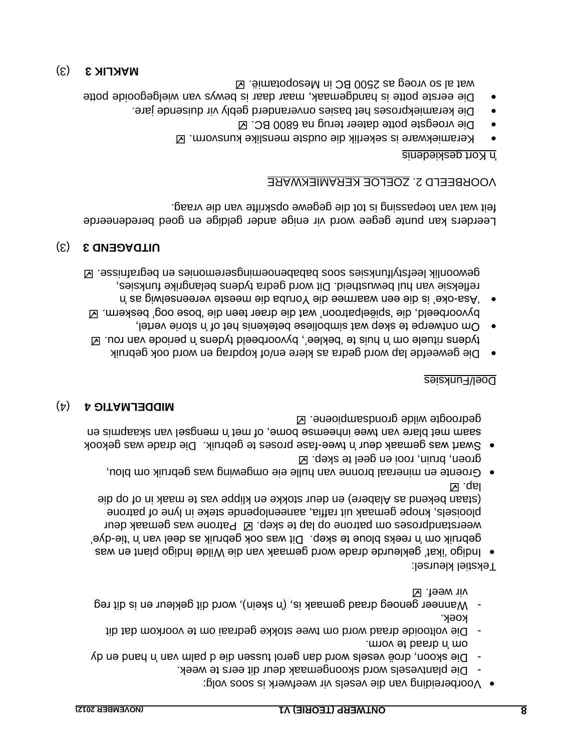- Voorbereiding van die vesels vir weefwerk is soos volg:
- Die plantvesels word skoongemaak deur dit eers te week. -
- Die skoon, droë vesels word dan gerol tussen die d palm van 'n hand en dy om 'n draad te vorm.
- Die voltooide draad word om twee stokke gedraai om te voorkom dat dit koek.
- Wanneer genoeg draad gemaak is, ('n skein), word dit gekleur en is dit reg vir weef.

Tekstiel kleursel:

- Indigo "ikat" gekleurde drade word gemaak van die Wilde Indigo plant en was gebruik om 'n reeks bloue te skep. Dit was ook gebruik as deel van 'n 'tie-dye'. weerstandproses om patrone op lap te skep.  $\boxtimes$  Patrone was gemaak deur plooisels, knope gemaak uit raffia, aaneenlopende steke in lyne of patrone of op die (staan bekend as Alabere) en deur stokke en klippe vas te maak in lap. <u>M</u>
- Groente en mineraal bronne van hulle eie omgewing was gebruik om blou, groen, bruin, rooi en geel te skep.
- Die drade was gewaak deur 'n twee-fase proses te gebruik. Die drade was gekook saam met blare van twee inheemse bome, of met n'angsel van de simple en gedroogte wilde grondsampioene.

### ) 4( **MIDDELMATIG 4**

#### Doel/Funksies

- Die geweefde lap word gedra as klere en/of kopdrag en word ook gebruik tydens rituele om 'n huis te "beklee", byvoorbeeld tydens 'n periode van rou.
- Om ontwerpe te skep wat simboliese betekenis het of 'n storie vertel, byvoorbeeld, die "spiëelpatroon" wat die draer teen die "bose oog" beskerm. oke" is die een waarmee die Yoruba die meeste vereenselwig as 'n - "Asa
- refleksie van hul bewustheid. Dit word gedra tydens belangrike funksies, gewoonlik leefstylfunksies soos bababenoemingseremonies en begrafnisse.

# (3) **3 UITDAGEND**

Leerders kan punte gegee word vir enige ander geldige en goed beredeneerde vat van die van die van die die die die van die vraag.

# ZOELOE KERAMIEKWARE VOORBEELD 2.

#### Kort geskiedenis 'n

- Keramiekware is sekerlik die oudste menslike kunsvorm.
- Die vroegste potte dateer terug na 6800 BC. Ø
- Die keramiekproses het basies onveranderd gebly vir duisende jare.
- Die eerste potte is handgemaak, maar daar is bewys van wielgegooide potte wat al so vroeg as 2500 BC in Mesopotamië.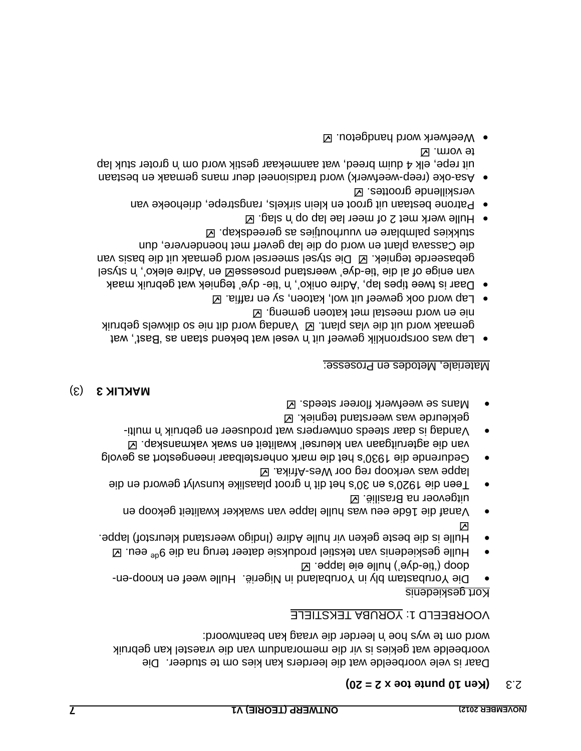# $2.3 \times 2.5$  **(Ken 10 punte toe x**  $2 = 20$ )

Daar is vele voorbeelde wat die leerders kan kies om te studeer. Die voorbeelde wat gekies is vir die memorandum van die vraestel kan gebruik word om te wys hoe 'n leerder die vraag kan beantwoord:

VOORBEELD 1: YORUBA TEKSTIELE

Kort geskiedenis

- Die Yorubastam bly in Yorubaland in Nigerië. Hulle weef en knoop-endoop ('tie-dye') hulle eie lappe.  $\boxtimes$
- Hulle geskiedenis van tekstiel produksie dateer terug na die 9<sup>de</sup> eeu. ⊠ Hulle is die beste geken vir hulle Adire (Indigo weerstand kleurstof) lappe.
- $\triangleright$ Vanaf die 16de eeu was hulle lappe van swakker kwaliteit gekoop en uitgevoer na Brasilië. Z
- Teen die 1920's en 30's het dit 'n groot plaaslike kunsvlyt geword en die lappe was verkoop reg oor Wes-Afrika.  $\boxtimes$
- Gedurende die 1930's het die mark onherstelbaar ineengestort as gevolg van die agteruitgaan van kleursel" kwaliteit en swak vakmanskap.
- Vandag is daar steeds ontwerpers wat produseer en gebruik 'n multigekleurde was weerstand tegniek.
- Mans se weefwerk floreer steeds.  $\boxtimes$

# (3) **MAKLIK 3**

### Materiale, Metodes en Prosesse:

- Lap was oorspronklik geweef uit 'n vesel wat bekend staan as 'Bast', wat Word uit die vlas plant. Ø Vandag word dit nie so dikwels gebruik nie en word meestal met katoen gemeng.
- $\blacksquare$  Lap word ook geweef uit wol, katoen, sy en raffia.  $\blacksquare$
- o Daar is twee tipes lap, 'Adire oniko', 'n 'tie- dye' tegniek wat gebruik maak lesyts n', oxele enibA' ne Messesong bansterew 'eyb-eit' elb la doine nav gebaseerde tegniek.  $\boxtimes$  Die stysel smeersel word gemaak uit die basis van die Cassava plant en word op die lap geverf met hoendervere, dun stukkies palmblare en vuurhoutjies as gereedskap.
- $\bullet$  Hulle werk met 2 of meer lae lap op n slag.  $\boxtimes$
- Patrone bestaan uit groot en klein sirkels, rangstrepe, driehoeke van verskillende groottes.
- Asa-oke (reep-weefwerk) word tradisioneel deur mans gemaak en bestaan uit repe, elk 4 duim breed, wat aanmekaar gestik word om 'n groter stuk lap te vorm. Z
- Weefwerk word handgetou. **Ø**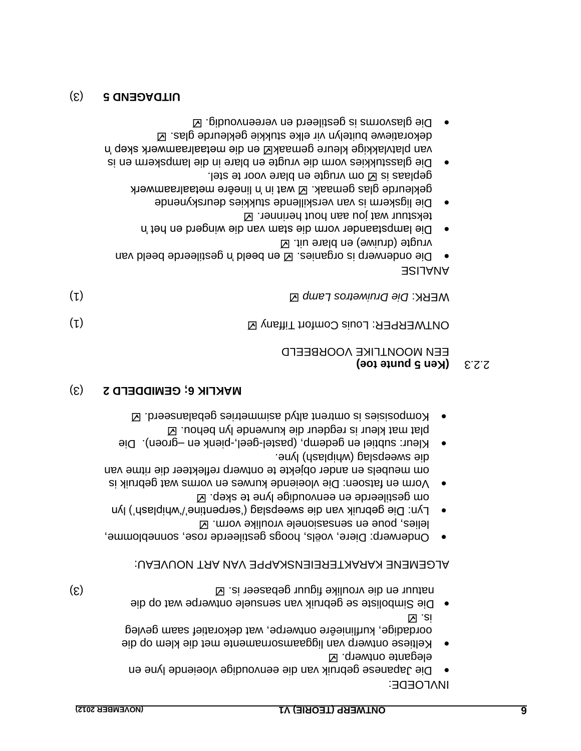INVLOEDE:

- Die Japanese gebruik van die eenvoudige vloeiende lyne en elegante ontwerp. **Z**
- Keltiese ontwerp van liggaamsornamente met die klem op die oordadige, kurflinieêre ontwerpe, wat dekoratief saam gevleg is.
- e Die Simboliste se gebruik van sensuele ontwerpe wat op die natuur en die vroulike figuur gebaseer is.  $\boxtimes$  is  $\boxtimes$

ALGEMENE KARAKTEREIENSKAPPE VAN ART NOUVEAU:

- Onderwerp: Diere, voëls, hoogs gestileerde rose, sonneblomme, lelies, poue en sensasionele vroulike vorm.
- Die gebruik van die sweepslag ("serpentine"/"whiplash") lyn Lyn: om gestileerde en eenvoudige lyne te skep.
- Vorm en fatsoen: Die vloeiende kurwes en vorms wat gebruik is om meubels en ander objekte te ontwerp reflekteer die ritme van lyne. au id selag (wpiplash) lyne.
- Kleur: subtiel en gedemp, (pastel-geel,-pienk en -groen). Die plat mat kleur is regdeur die kurwende lyn behou.  $\boxtimes$
- **Nombosisies** is omtrent altyd as intermies gebalanseerd.  $\boxtimes$

# (3) **GEMIDDELD 2 ; MAKLIK 6**

#### **(Ken 5 punte toe)** 2.2.3 EEN MOONLFIKE AOOKBEEFD

| (L) | ONTWERPER: Louis Comfort Tiffany Ø |
|-----|------------------------------------|
|     |                                    |

| $(\iota)$ | WERK: Die Druiwetros Lamp Z |
|-----------|-----------------------------|

# ANALISE

- e Die onderwerp is organies. El en beeld ripperde beeld van ugte (druiwe) en blare uit.  $\boxtimes$
- Die lampstaander vorm die stam van die wingerd en het 'n tekstuur wat jou aan hout herinner.  $\boxtimes$
- Die ligskerm is van verskillende stukkies deurskynende gekleurde glas gemaak. E wat in 'n lineêre metaalraamwerk
- geplaas is  $\boxtimes$  om vrugte en blare voor te stel. is glasstukkies vorm die vrugte en blare in die lampskerm en Die van platvlakkige kleure gemaak⊠ en die metaalraamwerk skep 'n
- dekoratiewe buitelyn vir elke stukkie gekleurde glas. . Die glasvorms is gestileerd en vereenvoudig

#### (3) **UITDAGEND 5**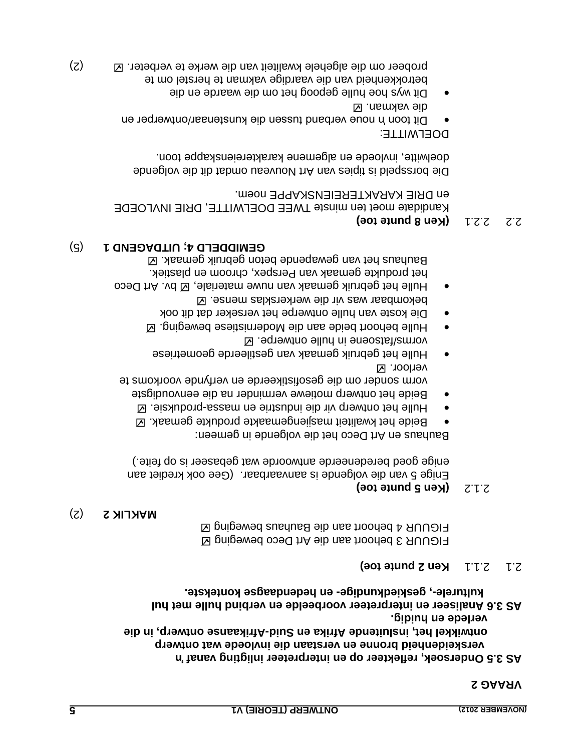#### **VRAAG 2**

**'n AS 3.5 Ondersoek, reflekteer op en interpreteer inligting vanaf verskeidenheid bronne en verstaan die invloede wat ontwerp**  ontwikkel het, insluitende Afrika en Suid-Afrikaanse ontwerp, in die **verlede en huidig.**

AS 3.6 Analiseer en interpreteer voorbeelde en verbind hulle met hul **en hedendaagse kontekste. - geskiedkundige , - kulturele** 

#### **Ken 2 punte toe)** 2.1.1 2.1

FIGUUR 3 behoort aan die Art Deco beweging  $\boxtimes$ FIGUUR 4 behoort aan die Bauhaus beweging  $\boxtimes$ 

#### (2) **MAKLIK 2**

#### **(Ken 5 punte toe)** 2.1.2

Enige 5 van die volgende is aanvaarbaar. (Gee ook krediet aan enige goed beredeneerde antwoorde wat gebaseer is op feite.)

Bauhaus en Art Deco het die volgende in gemeen:

- Beide het kwaliteit masjiengemaakte produkte gemaak.
- Pulle het ontwerp vir die industrie en massa-produksie. E
- Beide het ontwerp motiewe verminder na die eenvoudigste vorm sonder om die gesofistikeerde en verfynde voorkoms te verloor.
- Hulle het gebruik gemaak van gestileerde geometriese . vorms/fatsoene in hulle ontwerpe
- **Mulle behoort beide aan die Modernistiese beweging.**  $\blacksquare$
- Die koste van hulle ontwerpe het verseker dat dit ook
- bekombaar was vir die werkersklas mense. Hulle het gebruik gemaak van nuwe materiale, Ø bv. Art Deco het produkte gemaak van Perspex, chroom en plastiek. Bauhaus het van gewapende beton gebruik gemaak. Ø

#### (5) **UITDAGEND 1 ; GEMIDDELD 4**

### $Z \times Z$   $Z \times Z$  **b**  $Z \times Z$   $Z \times Z$

Kandidate moet ten minste TWEE DOELWITTE, DRIE INVLOEDE en DRIE KARAKTEREIENSKAPPE noem.

Die borsspeld is tipies van Art Nouveau omdat dit die volgende doelwitte, invloede en algemene karaktereienskappe toon.

#### DOELWITTE:

- Dit toon 'n noue verband tussen die kunstenaar/ontwerper en . vakman die
- Dit wys hoe hulle gepoog het om die waarde en die betrokkenheid van die vaardige vakman te herstel om te (2) probeer om die algehele kwaliteit van die werke te verbeter.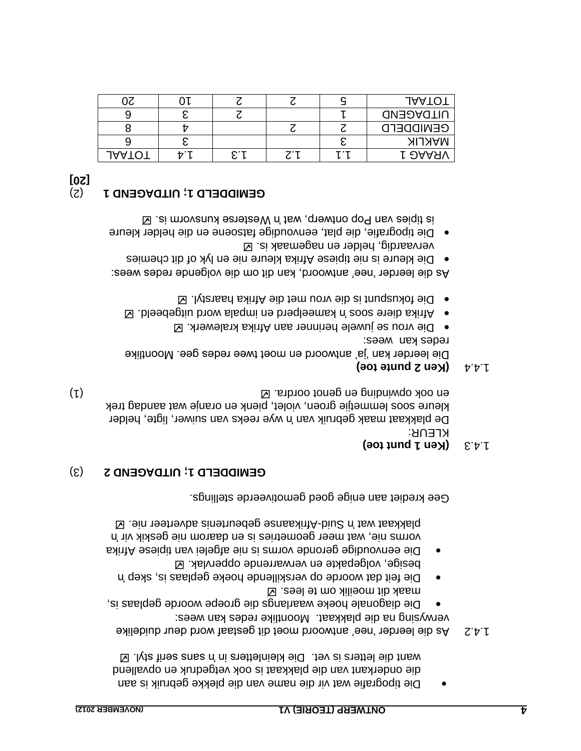- Die tipografie wat vir die name van die plekke gebruik is aan die onderkant van die plakkaat is ook vetgedruk en opvallend Want die letters is vet. Die kleinletters in 'n sens serif styl.  $\boxtimes$
- As die leerder "nee" antwoord moet dit gestaaf word deur duidelike 1.4.2 verwysing na die plakkaat. Moontlike redes kan wees:
- Die diagonale hoeke waarlangs die groepe woorde geplaas is, maak dit moeilik om te lees.
- Die feit dat woorde op verskillende hoeke geplaas is, skep 'n besige, volgepakte en verwarrende oppervlak.  $\boxtimes$
- frika Die eenvoudige geronde vorms is nie afgelei van tipiese A 'n vorms nie, wat meer geometries is en daarom nie geskik vir

 $\boxtimes$  . Sin test adverting and  $\Box$  and  $\Box$  and  $\Box$  and  $\Box$  is suided in all  $\Box$  is and  $\Box$   $\Box$ 

Gee krediet aan enige goed gemotiveerde stellings.

# (3) **UITDAGEND 2 ; GEMIDDELD 1**

### **(Sen 1 punt toe)**

KLEUR: De plakkaat maak gebruik van 'n wye reeks van suiwer, ligte, helder kleure soos lemmetjie groen, violet, pienk en oranje wat aandag trek (1) en ook opwinding en genot oordra.

# $\forall$   $\forall$  **(Ken 2 punte toe)**

Die leerder kan "ja" antwoord en moet twee redes gee. Moontlike reqes kan wees:

- $\blacksquare$  and arou se juwele herinner aan Afrika kralewerk.  $\blacksquare$
- $\Delta$  . bleedeptiu brow slagmi ne breqleems n'e coez en ibishina  $\bullet$
- $\Box$  lytansed saint alb tem vor met die Afrika haarstyl.  $\Box$

As die leerder 'nee' antwoord, kan dit om die volgende redes wees: Die kleure is nie tipiese Afrika kleure nie en lyk of dit chemies

- vervaardig, helder en nagemaak is. • Die tipografie, die plat, eenvoudige fatsoene en die helder kleure
- is tipies van Pop ontwerp, wat 'n Westerse kunsvorm is.

# (2) **UITDAGEND 1 ; GEMIDDELD 1**

**[20]**

|         |              |     | <b>JAATO</b>     |
|---------|--------------|-----|------------------|
|         |              |     | <b>UITDAGEND</b> |
|         |              |     | <b>GENIDDEFD</b> |
|         |              |     | <b>MAKLIK</b>    |
| 799 I G | $\mathbf{r}$ | . . | r ƏAAXV          |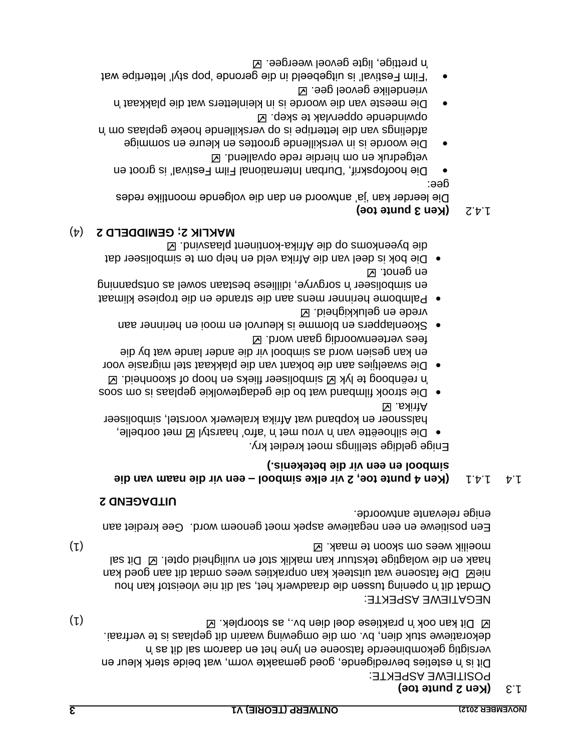# **(Ken 2 punte toe)**

POSITIEWE ASPEKTE:

Dit is 'n esteties bevredigende, goed gemaakte vorm, wat beide sterk kleur en en daarom sal dit as 'n het gekombineerde in dit as 'n het gekombineerde fatsoene versiedenige versiedenigtigi . dekoratiewe stuk dien, bv. om die omgewing waarin dit geplaas is te verfraai (1) . Dit kan ook 'n praktiese doel dien bv., as stoorplek

#### NEGATIEWE ASPEKTE:

Dmdat dit 'n opening tussen die draadwerk het, sal dit nie vloeistof kan hou meg Die tan on aan uitsteek kan onprakties wees omdat dit aan goed kan haak en die wolagtige tekstuur kan maklik stof en vuiligheid optel.  $\boxtimes$  Dit sal (1) moeilik wees om skoon te maak.  $\boxtimes$  . Moreover,  $\boxtimes$ 

Een positiewe en een negatiewe aspek moet genoem word. Gee krediet aan enige relevante antwoorde.

### **UITDAGEND 2**

#### **eib naam van die 1.4.1 vir elke simbool – een vir die naam van die simbool en een vir die betekenis.)**

Enige geldige stellings moet krediet kry.

- o Die silhoeëtte van 'n vrou met 'n 'afro' haarstyl M met oorbelle, halssnoer en kopband wat Afrika kralewerk voorstel, simboliseer Afrika.
- Die strook filmband wat bo die gedagtewolkie geplaas is om soos  $\boxtimes$  .bienhoods to qoon ne sdeilt reeslodmis  $\boxtimes$   $\forall$ yl et goodneen n'
- Die swaeltjies aan die bokant van die plakkaat stel migrasie voor en kan gesien word as simbool vir die ander lande wat by die fees verteenwoordig gaan word.
- Skoenlappers en blomme is kleurvol en mooi en herinner aan vrede en gelukkigheid.
- o Palmbome herinner mens aan die strande en die tropiese klimaat en simpoliseer 'n sorgvrye, idilliese bestaan sowel as ontspanning en genot.  $\boxtimes$
- Die bok is deel van die Afrika veld en help om te simboliseer dat **E** . bnivzaslq tnenitnox-sxintA eib qo zmoxnesvd eib (4) **GEMIDDELD 2 ; MAKLIK 2**

# $7.4.2$  **(Ken 3 punte toe)**

Die leerder kan "ja" antwoord en dan die volgende moontlike redes dee:

- Die hoofopskrif, 'Durban International Film Festival' is groot en vetgedruk en om hierdie rede opvallend.
- Die woorde is in verskillende groottes en kleure en sommige afdelings van die letteripe is op verskillende hoeke geplaas om 'n opwindende oppervlak te skep.  $\boxtimes$
- Die meeste van die woorde is in kleinletter wat die plakkaat 'n vriendelike gevoel gee.  $\boxtimes$
- "Film Festival" is uitgebeeld in die geronde "pop styl" lettertipe wat prettige, ligte gevoel weergee. 'n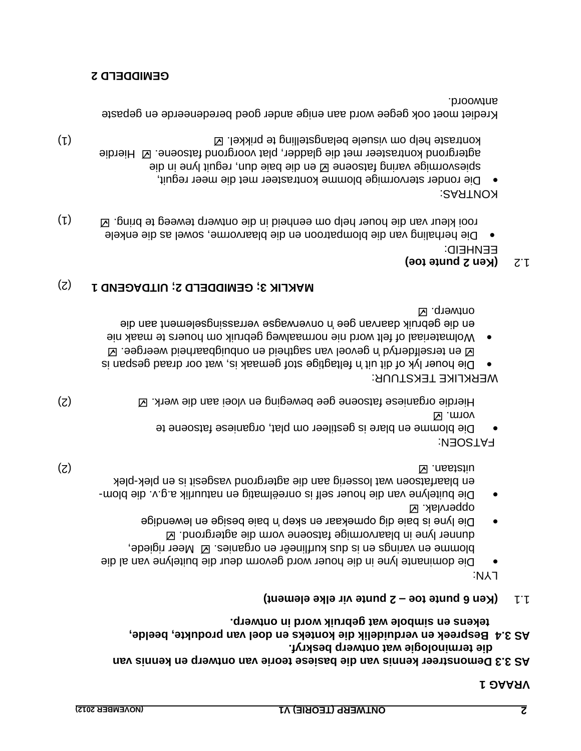#### **1 VRAAG**

- **AS 3.3 Demonstreer kennis van die basiese teorie van ontwerp en kennis van die terminologie wat ontwerp beskryf.**
- **Bespreek en verduidelik die konteks en doel van produkte, beelde, AS 3.4**  fekens en simbole wat gepruik word in ontwerp.
- $\int \cdot \cdot \cdot$  **(Ken 6 punte toe 2 punte vir elke element)**

LYN:

- Die dominante lyne in die houer word gevorm deur die buitelyne van al die blomme en varings en is dus kurflineêr en organies. El Meer rigiede, . Fatsoene vorm die vorm die sprond die agtergrond in plaarvormige in blaarvormige in blaarvormige in blaarvormige Die lyne is baie dig opmekaar en skep 'n baie besige en lewendige
- oppervlak. **Z** - Die buitelyne van die houer self is onreëlmatig en natuurlik a.g.v. die blom

plek - en blaarfatsoen wat losserig aan die agtergrond vasgesit is en plek (2) No. 2013 is a set of the set of the set of the set of the set of the set of the set of the set of the set of the set of the set of the set of the set of the set of the set of the set of the set of the set of the set of

: FATSOEN

Die blomme en blare is gestileer om plat, organiese fatsoene te . vorm

Hierdie organiese fatsoene gee beweging en vloei aan die werk. E

WERKLIKE TEKSTUUR:

- Die houer lyk of dit uit 'n feltagtige stof gemaak is, wat oor draad gespan is  $\boxtimes$  . seprestive on sagtheid on buigbaarheid weerges.  $\boxtimes$
- Wolmateriaal of felt word nie normaalweg gebruik om houers te maak nie en die gebruik daarvan gee 'n onverwagse verrassingselement aan die ontwerp. **Z**

# (2) **UITDAGEND 1 ; GEMIDDELD 2 ; MAKLIK 3**

# **(Ken 2 punte toe)**

EENHEID:

Die herhaling van die blompatroon en die blaarvorme, sowel as die enkele rooi kleur van die houer help om eenheid in die ontwerp teweeg te bring. (1)

KONTRAS:

Die ronder stervormige blomme kontrasteer met die meer reguit, eib ni enyl tiuge in die dun die baie dun, reguit lyne in die agtergrond kontrasteer met die gladder, plat voorgrond fatsoene. E Hierdie kontraste help om visuele belangstelling te prikkel.  $\boxtimes$ 

Krediet moet ook gegee word aan enige ander goed beredeneerde en gepaste antwoord.

#### **GEMIDDELD 2**